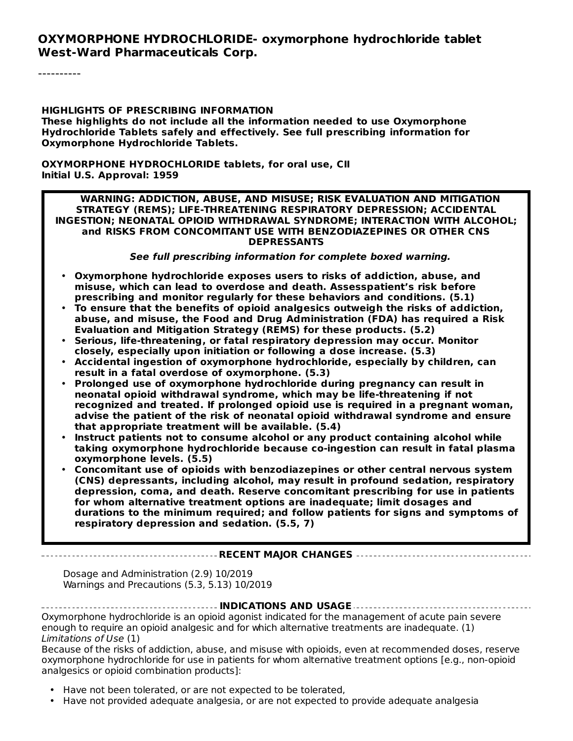#### **OXYMORPHONE HYDROCHLORIDE- oxymorphone hydrochloride tablet West-Ward Pharmaceuticals Corp.**

----------

#### **HIGHLIGHTS OF PRESCRIBING INFORMATION These highlights do not include all the information needed to use Oxymorphone Hydrochloride Tablets safely and effectively. See full prescribing information for Oxymorphone Hydrochloride Tablets.**

**OXYMORPHONE HYDROCHLORIDE tablets, for oral use, CII Initial U.S. Approval: 1959**

#### **WARNING: ADDICTION, ABUSE, AND MISUSE; RISK EVALUATION AND MITIGATION STRATEGY (REMS); LIFE-THREATENING RESPIRATORY DEPRESSION; ACCIDENTAL INGESTION; NEONATAL OPIOID WITHDRAWAL SYNDROME; INTERACTION WITH ALCOHOL; and RISKS FROM CONCOMITANT USE WITH BENZODIAZEPINES OR OTHER CNS DEPRESSANTS**

**See full prescribing information for complete boxed warning.**

- **Oxymorphone hydrochloride exposes users to risks of addiction, abuse, and misuse, which can lead to overdose and death. Assesspatient's risk before prescribing and monitor regularly for these behaviors and conditions. (5.1)**
- **To ensure that the benefits of opioid analgesics outweigh the risks of addiction, abuse, and misuse, the Food and Drug Administration (FDA) has required a Risk Evaluation and Mitigation Strategy (REMS) for these products. (5.2)**
- **Serious, life-threatening, or fatal respiratory depression may occur. Monitor closely, especially upon initiation or following a dose increase. (5.3)**
- **Accidental ingestion of oxymorphone hydrochloride, especially by children, can result in a fatal overdose of oxymorphone. (5.3)**
- **Prolonged use of oxymorphone hydrochloride during pregnancy can result in neonatal opioid withdrawal syndrome, which may be life-threatening if not recognized and treated. If prolonged opioid use is required in a pregnant woman, advise the patient of the risk of neonatal opioid withdrawal syndrome and ensure that appropriate treatment will be available. (5.4)**
- **Instruct patients not to consume alcohol or any product containing alcohol while taking oxymorphone hydrochloride because co-ingestion can result in fatal plasma oxymorphone levels. (5.5)**
- **Concomitant use of opioids with benzodiazepines or other central nervous system (CNS) depressants, including alcohol, may result in profound sedation, respiratory depression, coma, and death. Reserve concomitant prescribing for use in patients for whom alternative treatment options are inadequate; limit dosages and durations to the minimum required; and follow patients for signs and symptoms of respiratory depression and sedation. (5.5, 7)**

#### **RECENT MAJOR CHANGES**

Dosage and Administration (2.9) 10/2019 Warnings and Precautions (5.3, 5.13) 10/2019

**INDICATIONS AND USAGE** Oxymorphone hydrochloride is an opioid agonist indicated for the management of acute pain severe enough to require an opioid analgesic and for which alternative treatments are inadequate. (1) Limitations of Use (1)

Because of the risks of addiction, abuse, and misuse with opioids, even at recommended doses, reserve oxymorphone hydrochloride for use in patients for whom alternative treatment options [e.g., non-opioid analgesics or opioid combination products]:

- Have not been tolerated, or are not expected to be tolerated,
- Have not provided adequate analgesia, or are not expected to provide adequate analgesia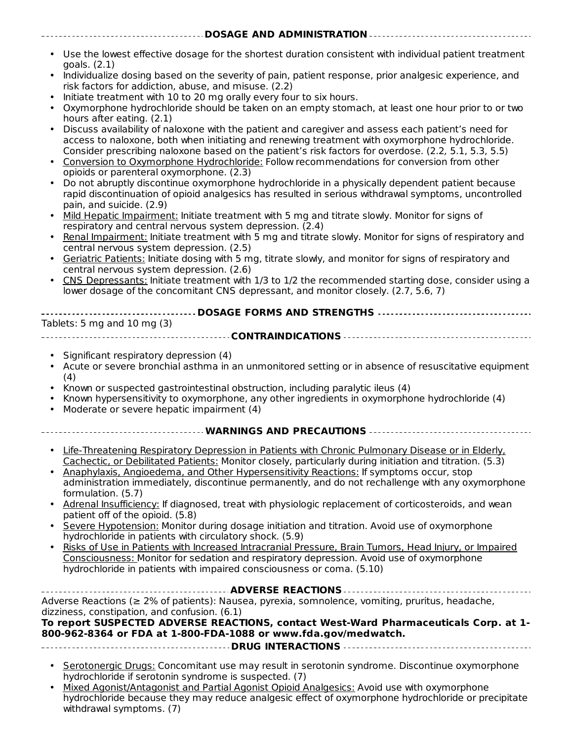• Use the lowest effective dosage for the shortest duration consistent with individual patient treatment goals. (2.1)

**DOSAGE AND ADMINISTRATION**

- Individualize dosing based on the severity of pain, patient response, prior analgesic experience, and risk factors for addiction, abuse, and misuse. (2.2)
- Initiate treatment with 10 to 20 mg orally every four to six hours.
- Oxymorphone hydrochloride should be taken on an empty stomach, at least one hour prior to or two hours after eating. (2.1)
- Discuss availability of naloxone with the patient and caregiver and assess each patient's need for access to naloxone, both when initiating and renewing treatment with oxymorphone hydrochloride. Consider prescribing naloxone based on the patient's risk factors for overdose. (2.2, 5.1, 5.3, 5.5)
- Conversion to Oxymorphone Hydrochloride: Follow recommendations for conversion from other opioids or parenteral oxymorphone. (2.3)
- Do not abruptly discontinue oxymorphone hydrochloride in a physically dependent patient because rapid discontinuation of opioid analgesics has resulted in serious withdrawal symptoms, uncontrolled pain, and suicide. (2.9)
- Mild Hepatic Impairment: Initiate treatment with 5 mg and titrate slowly. Monitor for signs of respiratory and central nervous system depression. (2.4)
- Renal Impairment: Initiate treatment with 5 mg and titrate slowly. Monitor for signs of respiratory and central nervous system depression. (2.5)
- Geriatric Patients: Initiate dosing with 5 mg, titrate slowly, and monitor for signs of respiratory and central nervous system depression. (2.6)
- CNS Depressants: Initiate treatment with 1/3 to 1/2 the recommended starting dose, consider using a lower dosage of the concomitant CNS depressant, and monitor closely. (2.7, 5.6, 7)

| Tablets: 5 mg and 10 mg $(3)$ |  |  |  |
|-------------------------------|--|--|--|
|                               |  |  |  |

- Significant respiratory depression (4)
- Acute or severe bronchial asthma in an unmonitored setting or in absence of resuscitative equipment (4)
- Known or suspected gastrointestinal obstruction, including paralytic ileus (4)
- Known hypersensitivity to oxymorphone, any other ingredients in oxymorphone hydrochloride (4)
- Moderate or severe hepatic impairment (4)

#### **WARNINGS AND PRECAUTIONS**

- Life-Threatening Respiratory Depression in Patients with Chronic Pulmonary Disease or in Elderly, Cachectic, or Debilitated Patients: Monitor closely, particularly during initiation and titration. (5.3)
- Anaphylaxis, Angioedema, and Other Hypersensitivity Reactions: If symptoms occur, stop administration immediately, discontinue permanently, and do not rechallenge with any oxymorphone formulation. (5.7)
- Adrenal Insufficiency: If diagnosed, treat with physiologic replacement of corticosteroids, and wean patient off of the opioid. (5.8)
- Severe Hypotension: Monitor during dosage initiation and titration. Avoid use of oxymorphone hydrochloride in patients with circulatory shock. (5.9)
- Risks of Use in Patients with Increased Intracranial Pressure, Brain Tumors, Head Injury, or Impaired Consciousness: Monitor for sedation and respiratory depression. Avoid use of oxymorphone hydrochloride in patients with impaired consciousness or coma. (5.10)

**ADVERSE REACTIONS** Adverse Reactions (≥ 2% of patients): Nausea, pyrexia, somnolence, vomiting, pruritus, headache, dizziness, constipation, and confusion. (6.1) **To report SUSPECTED ADVERSE REACTIONS, contact West-Ward Pharmaceuticals Corp. at 1-**

#### **800-962-8364 or FDA at 1-800-FDA-1088 or www.fda.gov/medwatch.**

- **DRUG INTERACTIONS**
- **Serotonergic Drugs: Concomitant use may result in serotonin syndrome. Discontinue oxymorphone** hydrochloride if serotonin syndrome is suspected. (7)
- Mixed Agonist/Antagonist and Partial Agonist Opioid Analgesics: Avoid use with oxymorphone hydrochloride because they may reduce analgesic effect of oxymorphone hydrochloride or precipitate withdrawal symptoms. (7)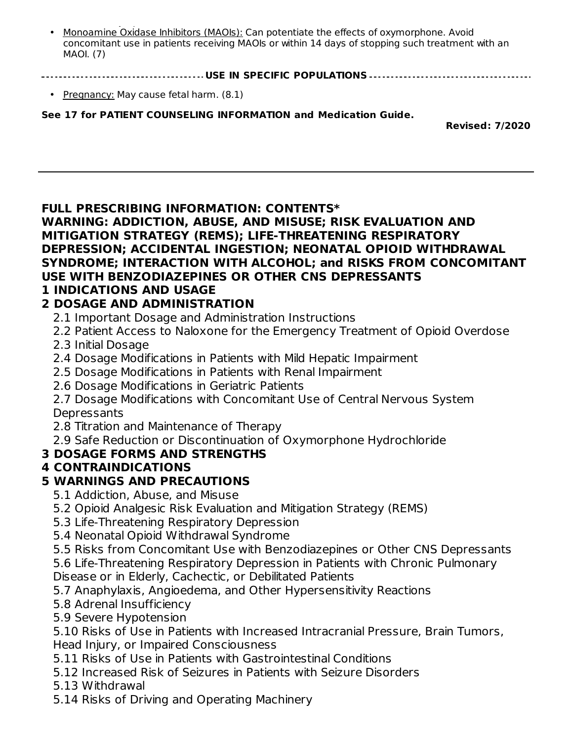• withdrawal symptoms. (7) Monoamine Oxidase Inhibitors (MAOIs): Can potentiate the effects of oxymorphone. Avoid concomitant use in patients receiving MAOIs or within 14 days of stopping such treatment with an MAOI. (7)

**USE IN SPECIFIC POPULATIONS**

• Pregnancy: May cause fetal harm. (8.1)

**See 17 for PATIENT COUNSELING INFORMATION and Medication Guide.**

**Revised: 7/2020**

#### **FULL PRESCRIBING INFORMATION: CONTENTS\***

**WARNING: ADDICTION, ABUSE, AND MISUSE; RISK EVALUATION AND MITIGATION STRATEGY (REMS); LIFE-THREATENING RESPIRATORY DEPRESSION; ACCIDENTAL INGESTION; NEONATAL OPIOID WITHDRAWAL SYNDROME; INTERACTION WITH ALCOHOL; and RISKS FROM CONCOMITANT USE WITH BENZODIAZEPINES OR OTHER CNS DEPRESSANTS**

#### **1 INDICATIONS AND USAGE**

### **2 DOSAGE AND ADMINISTRATION**

- 2.1 Important Dosage and Administration Instructions
- 2.2 Patient Access to Naloxone for the Emergency Treatment of Opioid Overdose
- 2.3 Initial Dosage
- 2.4 Dosage Modifications in Patients with Mild Hepatic Impairment
- 2.5 Dosage Modifications in Patients with Renal Impairment
- 2.6 Dosage Modifications in Geriatric Patients
- 2.7 Dosage Modifications with Concomitant Use of Central Nervous System **Depressants**
- 2.8 Titration and Maintenance of Therapy
- 2.9 Safe Reduction or Discontinuation of Oxymorphone Hydrochloride

#### **3 DOSAGE FORMS AND STRENGTHS**

## **4 CONTRAINDICATIONS**

## **5 WARNINGS AND PRECAUTIONS**

- 5.1 Addiction, Abuse, and Misuse
- 5.2 Opioid Analgesic Risk Evaluation and Mitigation Strategy (REMS)
- 5.3 Life-Threatening Respiratory Depression
- 5.4 Neonatal Opioid Withdrawal Syndrome

5.5 Risks from Concomitant Use with Benzodiazepines or Other CNS Depressants

- 5.6 Life-Threatening Respiratory Depression in Patients with Chronic Pulmonary Disease or in Elderly, Cachectic, or Debilitated Patients
- 5.7 Anaphylaxis, Angioedema, and Other Hypersensitivity Reactions
- 5.8 Adrenal Insufficiency
- 5.9 Severe Hypotension

5.10 Risks of Use in Patients with Increased Intracranial Pressure, Brain Tumors, Head Injury, or Impaired Consciousness

- 5.11 Risks of Use in Patients with Gastrointestinal Conditions
- 5.12 Increased Risk of Seizures in Patients with Seizure Disorders
- 5.13 Withdrawal
- 5.14 Risks of Driving and Operating Machinery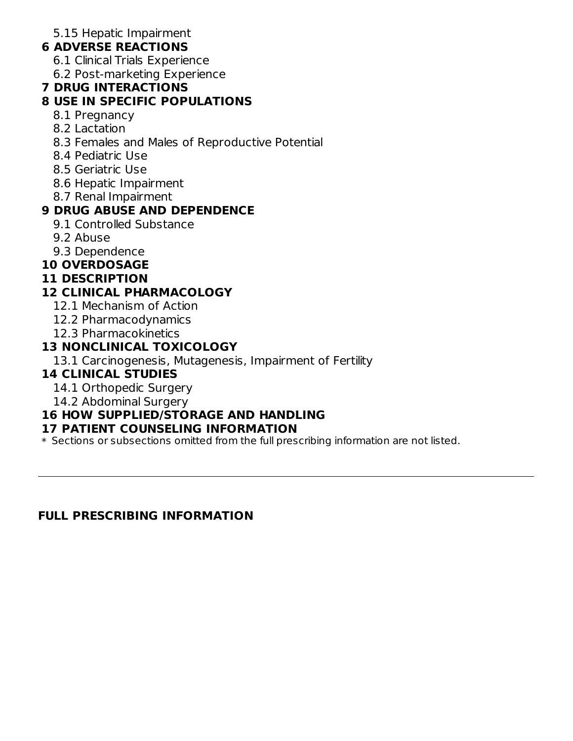5.15 Hepatic Impairment

## **6 ADVERSE REACTIONS**

- 6.1 Clinical Trials Experience
- 6.2 Post-marketing Experience

#### **7 DRUG INTERACTIONS**

## **8 USE IN SPECIFIC POPULATIONS**

- 8.1 Pregnancy
- 8.2 Lactation
- 8.3 Females and Males of Reproductive Potential
- 8.4 Pediatric Use
- 8.5 Geriatric Use
- 8.6 Hepatic Impairment
- 8.7 Renal Impairment

## **9 DRUG ABUSE AND DEPENDENCE**

- 9.1 Controlled Substance
- 9.2 Abuse
- 9.3 Dependence

## **10 OVERDOSAGE**

#### **11 DESCRIPTION**

### **12 CLINICAL PHARMACOLOGY**

- 12.1 Mechanism of Action
- 12.2 Pharmacodynamics
- 12.3 Pharmacokinetics

### **13 NONCLINICAL TOXICOLOGY**

13.1 Carcinogenesis, Mutagenesis, Impairment of Fertility

## **14 CLINICAL STUDIES**

- 14.1 Orthopedic Surgery
- 14.2 Abdominal Surgery

## **16 HOW SUPPLIED/STORAGE AND HANDLING**

#### **17 PATIENT COUNSELING INFORMATION**

\* Sections or subsections omitted from the full prescribing information are not listed.

**FULL PRESCRIBING INFORMATION**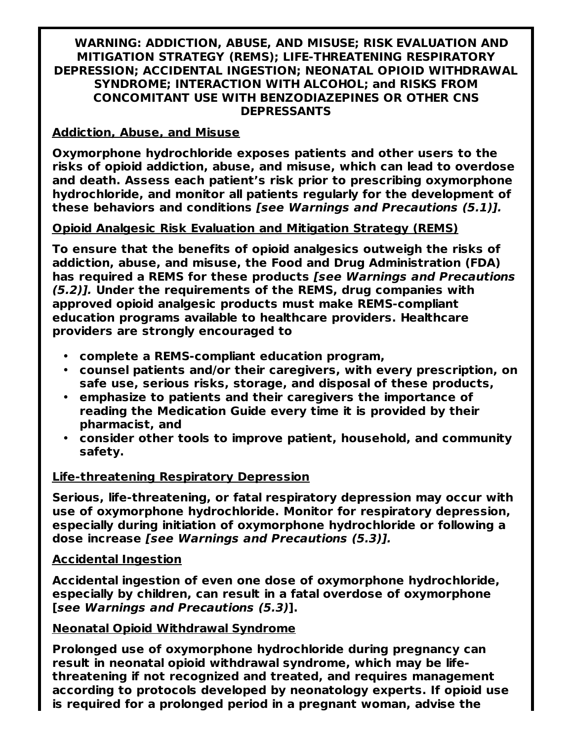#### **WARNING: ADDICTION, ABUSE, AND MISUSE; RISK EVALUATION AND MITIGATION STRATEGY (REMS); LIFE-THREATENING RESPIRATORY DEPRESSION; ACCIDENTAL INGESTION; NEONATAL OPIOID WITHDRAWAL SYNDROME; INTERACTION WITH ALCOHOL; and RISKS FROM CONCOMITANT USE WITH BENZODIAZEPINES OR OTHER CNS DEPRESSANTS**

#### **Addiction, Abuse, and Misuse**

**Oxymorphone hydrochloride exposes patients and other users to the risks of opioid addiction, abuse, and misuse, which can lead to overdose and death. Assess each patient's risk prior to prescribing oxymorphone hydrochloride, and monitor all patients regularly for the development of these behaviors and conditions [see Warnings and Precautions (5.1)].**

#### **Opioid Analgesic Risk Evaluation and Mitigation Strategy (REMS)**

**To ensure that the benefits of opioid analgesics outweigh the risks of addiction, abuse, and misuse, the Food and Drug Administration (FDA) has required a REMS for these products [see Warnings and Precautions (5.2)]. Under the requirements of the REMS, drug companies with approved opioid analgesic products must make REMS-compliant education programs available to healthcare providers. Healthcare providers are strongly encouraged to**

- **complete a REMS-compliant education program,**
- **counsel patients and/or their caregivers, with every prescription, on safe use, serious risks, storage, and disposal of these products,**
- **emphasize to patients and their caregivers the importance of reading the Medication Guide every time it is provided by their pharmacist, and**
- **consider other tools to improve patient, household, and community safety.**

#### **Life-threatening Respiratory Depression**

**Serious, life-threatening, or fatal respiratory depression may occur with use of oxymorphone hydrochloride. Monitor for respiratory depression, especially during initiation of oxymorphone hydrochloride or following a dose increase [see Warnings and Precautions (5.3)].**

#### **Accidental Ingestion**

**Accidental ingestion of even one dose of oxymorphone hydrochloride, especially by children, can result in a fatal overdose of oxymorphone [see Warnings and Precautions (5.3)].**

#### **Neonatal Opioid Withdrawal Syndrome**

**Prolonged use of oxymorphone hydrochloride during pregnancy can result in neonatal opioid withdrawal syndrome, which may be lifethreatening if not recognized and treated, and requires management according to protocols developed by neonatology experts. If opioid use is required for a prolonged period in a pregnant woman, advise the**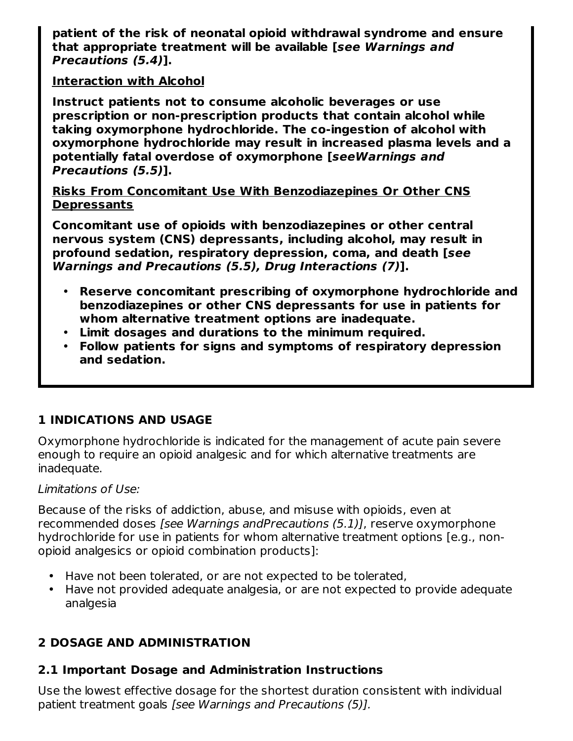**patient of the risk of neonatal opioid withdrawal syndrome and ensure that appropriate treatment will be available [see Warnings and Precautions (5.4)].**

### **Interaction with Alcohol**

**Instruct patients not to consume alcoholic beverages or use prescription or non-prescription products that contain alcohol while taking oxymorphone hydrochloride. The co-ingestion of alcohol with oxymorphone hydrochloride may result in increased plasma levels and a potentially fatal overdose of oxymorphone [seeWarnings and Precautions (5.5)].**

**Risks From Concomitant Use With Benzodiazepines Or Other CNS Depressants**

**Concomitant use of opioids with benzodiazepines or other central nervous system (CNS) depressants, including alcohol, may result in profound sedation, respiratory depression, coma, and death [see Warnings and Precautions (5.5), Drug Interactions (7)].**

- **Reserve concomitant prescribing of oxymorphone hydrochloride and benzodiazepines or other CNS depressants for use in patients for whom alternative treatment options are inadequate.**
- **Limit dosages and durations to the minimum required.**
- **Follow patients for signs and symptoms of respiratory depression and sedation.**

## **1 INDICATIONS AND USAGE**

Oxymorphone hydrochloride is indicated for the management of acute pain severe enough to require an opioid analgesic and for which alternative treatments are inadequate.

#### Limitations of Use:

Because of the risks of addiction, abuse, and misuse with opioids, even at recommended doses [see Warnings andPrecautions (5.1)], reserve oxymorphone hydrochloride for use in patients for whom alternative treatment options [e.g., nonopioid analgesics or opioid combination products]:

- Have not been tolerated, or are not expected to be tolerated,
- Have not provided adequate analgesia, or are not expected to provide adequate analgesia

# **2 DOSAGE AND ADMINISTRATION**

## **2.1 Important Dosage and Administration Instructions**

Use the lowest effective dosage for the shortest duration consistent with individual patient treatment goals [see Warnings and Precautions (5)].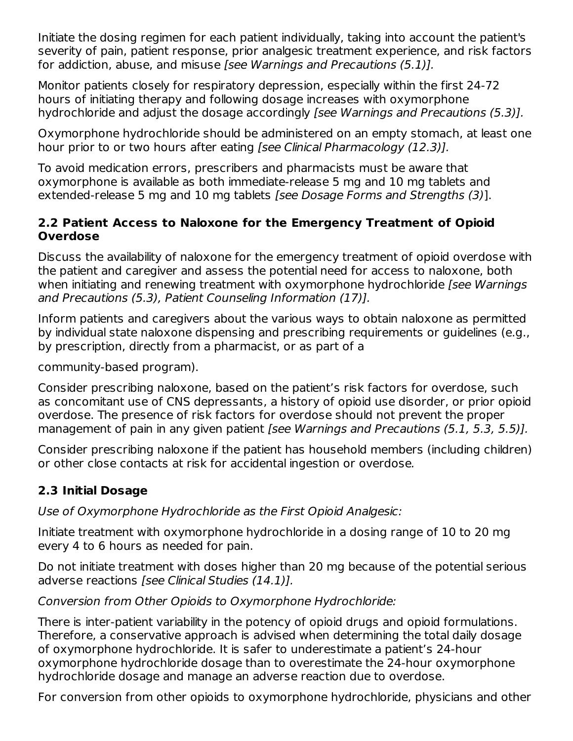Initiate the dosing regimen for each patient individually, taking into account the patient's severity of pain, patient response, prior analgesic treatment experience, and risk factors for addiction, abuse, and misuse [see Warnings and Precautions (5.1)].

Monitor patients closely for respiratory depression, especially within the first 24-72 hours of initiating therapy and following dosage increases with oxymorphone hydrochloride and adjust the dosage accordingly [see Warnings and Precautions (5.3)].

Oxymorphone hydrochloride should be administered on an empty stomach, at least one hour prior to or two hours after eating [see Clinical Pharmacology (12.3)].

To avoid medication errors, prescribers and pharmacists must be aware that oxymorphone is available as both immediate-release 5 mg and 10 mg tablets and extended-release 5 mg and 10 mg tablets [see Dosage Forms and Strengths (3)].

### **2.2 Patient Access to Naloxone for the Emergency Treatment of Opioid Overdose**

Discuss the availability of naloxone for the emergency treatment of opioid overdose with the patient and caregiver and assess the potential need for access to naloxone, both when initiating and renewing treatment with oxymorphone hydrochloride *[see Warnings* and Precautions (5.3), Patient Counseling Information (17)].

Inform patients and caregivers about the various ways to obtain naloxone as permitted by individual state naloxone dispensing and prescribing requirements or guidelines (e.g., by prescription, directly from a pharmacist, or as part of a

community-based program).

Consider prescribing naloxone, based on the patient's risk factors for overdose, such as concomitant use of CNS depressants, a history of opioid use disorder, or prior opioid overdose. The presence of risk factors for overdose should not prevent the proper management of pain in any given patient [see Warnings and Precautions (5.1, 5.3, 5.5)].

Consider prescribing naloxone if the patient has household members (including children) or other close contacts at risk for accidental ingestion or overdose.

## **2.3 Initial Dosage**

Use of Oxymorphone Hydrochloride as the First Opioid Analgesic:

Initiate treatment with oxymorphone hydrochloride in a dosing range of 10 to 20 mg every 4 to 6 hours as needed for pain.

Do not initiate treatment with doses higher than 20 mg because of the potential serious adverse reactions [see Clinical Studies (14.1)].

## Conversion from Other Opioids to Oxymorphone Hydrochloride:

There is inter-patient variability in the potency of opioid drugs and opioid formulations. Therefore, a conservative approach is advised when determining the total daily dosage of oxymorphone hydrochloride. It is safer to underestimate a patient's 24-hour oxymorphone hydrochloride dosage than to overestimate the 24-hour oxymorphone hydrochloride dosage and manage an adverse reaction due to overdose.

For conversion from other opioids to oxymorphone hydrochloride, physicians and other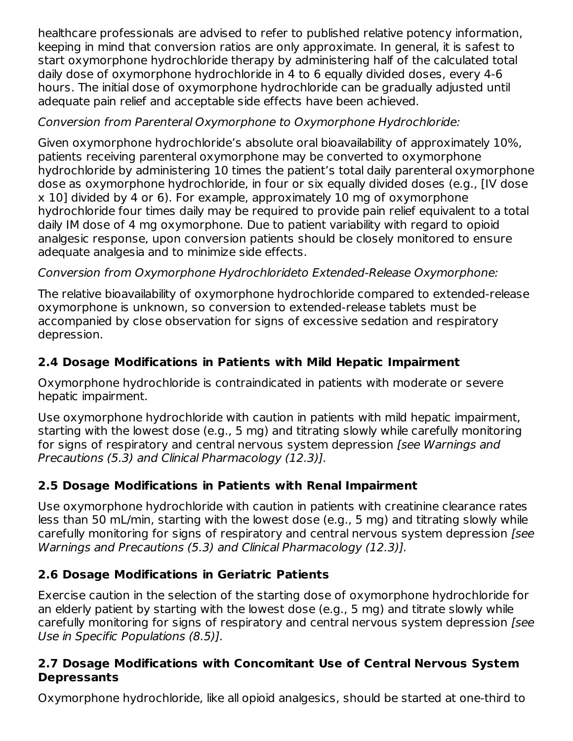healthcare professionals are advised to refer to published relative potency information, keeping in mind that conversion ratios are only approximate. In general, it is safest to start oxymorphone hydrochloride therapy by administering half of the calculated total daily dose of oxymorphone hydrochloride in 4 to 6 equally divided doses, every 4-6 hours. The initial dose of oxymorphone hydrochloride can be gradually adjusted until adequate pain relief and acceptable side effects have been achieved.

## Conversion from Parenteral Oxymorphone to Oxymorphone Hydrochloride:

Given oxymorphone hydrochloride's absolute oral bioavailability of approximately 10%, patients receiving parenteral oxymorphone may be converted to oxymorphone hydrochloride by administering 10 times the patient's total daily parenteral oxymorphone dose as oxymorphone hydrochloride, in four or six equally divided doses (e.g., [IV dose x 10] divided by 4 or 6). For example, approximately 10 mg of oxymorphone hydrochloride four times daily may be required to provide pain relief equivalent to a total daily IM dose of 4 mg oxymorphone. Due to patient variability with regard to opioid analgesic response, upon conversion patients should be closely monitored to ensure adequate analgesia and to minimize side effects.

# Conversion from Oxymorphone Hydrochlorideto Extended-Release Oxymorphone:

The relative bioavailability of oxymorphone hydrochloride compared to extended-release oxymorphone is unknown, so conversion to extended-release tablets must be accompanied by close observation for signs of excessive sedation and respiratory depression.

# **2.4 Dosage Modifications in Patients with Mild Hepatic Impairment**

Oxymorphone hydrochloride is contraindicated in patients with moderate or severe hepatic impairment.

Use oxymorphone hydrochloride with caution in patients with mild hepatic impairment, starting with the lowest dose (e.g., 5 mg) and titrating slowly while carefully monitoring for signs of respiratory and central nervous system depression *[see Warnings and* Precautions (5.3) and Clinical Pharmacology (12.3)].

# **2.5 Dosage Modifications in Patients with Renal Impairment**

Use oxymorphone hydrochloride with caution in patients with creatinine clearance rates less than 50 mL/min, starting with the lowest dose (e.g., 5 mg) and titrating slowly while carefully monitoring for signs of respiratory and central nervous system depression [see Warnings and Precautions (5.3) and Clinical Pharmacology (12.3)].

# **2.6 Dosage Modifications in Geriatric Patients**

Exercise caution in the selection of the starting dose of oxymorphone hydrochloride for an elderly patient by starting with the lowest dose (e.g., 5 mg) and titrate slowly while carefully monitoring for signs of respiratory and central nervous system depression [see Use in Specific Populations (8.5)].

## **2.7 Dosage Modifications with Concomitant Use of Central Nervous System Depressants**

Oxymorphone hydrochloride, like all opioid analgesics, should be started at one-third to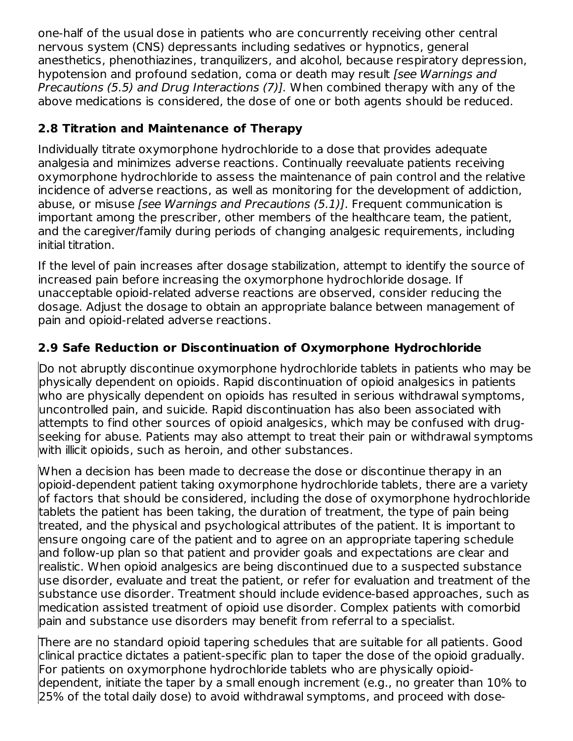one-half of the usual dose in patients who are concurrently receiving other central nervous system (CNS) depressants including sedatives or hypnotics, general anesthetics, phenothiazines, tranquilizers, and alcohol, because respiratory depression, hypotension and profound sedation, coma or death may result (see Warnings and Precautions (5.5) and Drug Interactions (7)]. When combined therapy with any of the above medications is considered, the dose of one or both agents should be reduced.

## **2.8 Titration and Maintenance of Therapy**

Individually titrate oxymorphone hydrochloride to a dose that provides adequate analgesia and minimizes adverse reactions. Continually reevaluate patients receiving oxymorphone hydrochloride to assess the maintenance of pain control and the relative incidence of adverse reactions, as well as monitoring for the development of addiction, abuse, or misuse [see Warnings and Precautions (5.1)]. Frequent communication is important among the prescriber, other members of the healthcare team, the patient, and the caregiver/family during periods of changing analgesic requirements, including initial titration.

If the level of pain increases after dosage stabilization, attempt to identify the source of increased pain before increasing the oxymorphone hydrochloride dosage. If unacceptable opioid-related adverse reactions are observed, consider reducing the dosage. Adjust the dosage to obtain an appropriate balance between management of pain and opioid-related adverse reactions.

## **2.9 Safe Reduction or Discontinuation of Oxymorphone Hydrochloride**

Do not abruptly discontinue oxymorphone hydrochloride tablets in patients who may be physically dependent on opioids. Rapid discontinuation of opioid analgesics in patients who are physically dependent on opioids has resulted in serious withdrawal symptoms, uncontrolled pain, and suicide. Rapid discontinuation has also been associated with attempts to find other sources of opioid analgesics, which may be confused with drugseeking for abuse. Patients may also attempt to treat their pain or withdrawal symptoms with illicit opioids, such as heroin, and other substances.

When a decision has been made to decrease the dose or discontinue therapy in an opioid-dependent patient taking oxymorphone hydrochloride tablets, there are a variety of factors that should be considered, including the dose of oxymorphone hydrochloride tablets the patient has been taking, the duration of treatment, the type of pain being treated, and the physical and psychological attributes of the patient. It is important to ensure ongoing care of the patient and to agree on an appropriate tapering schedule and follow-up plan so that patient and provider goals and expectations are clear and realistic. When opioid analgesics are being discontinued due to a suspected substance use disorder, evaluate and treat the patient, or refer for evaluation and treatment of the substance use disorder. Treatment should include evidence-based approaches, such as medication assisted treatment of opioid use disorder. Complex patients with comorbid pain and substance use disorders may benefit from referral to a specialist.

There are no standard opioid tapering schedules that are suitable for all patients. Good clinical practice dictates a patient-specific plan to taper the dose of the opioid gradually. For patients on oxymorphone hydrochloride tablets who are physically opioiddependent, initiate the taper by a small enough increment (e.g., no greater than 10% to 25% of the total daily dose) to avoid withdrawal symptoms, and proceed with dose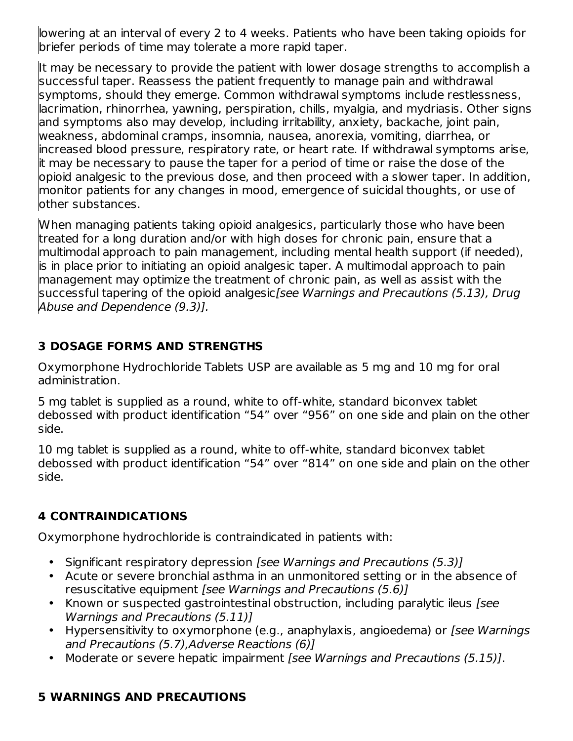lowering at an interval of every 2 to 4 weeks. Patients who have been taking opioids for briefer periods of time may tolerate a more rapid taper.

It may be necessary to provide the patient with lower dosage strengths to accomplish a successful taper. Reassess the patient frequently to manage pain and withdrawal symptoms, should they emerge. Common withdrawal symptoms include restlessness, lacrimation, rhinorrhea, yawning, perspiration, chills, myalgia, and mydriasis. Other signs and symptoms also may develop, including irritability, anxiety, backache, joint pain, weakness, abdominal cramps, insomnia, nausea, anorexia, vomiting, diarrhea, or increased blood pressure, respiratory rate, or heart rate. If withdrawal symptoms arise, it may be necessary to pause the taper for a period of time or raise the dose of the opioid analgesic to the previous dose, and then proceed with a slower taper. In addition, monitor patients for any changes in mood, emergence of suicidal thoughts, or use of other substances.

When managing patients taking opioid analgesics, particularly those who have been treated for a long duration and/or with high doses for chronic pain, ensure that a multimodal approach to pain management, including mental health support (if needed), is in place prior to initiating an opioid analgesic taper. A multimodal approach to pain management may optimize the treatment of chronic pain, as well as assist with the successful tapering of the opioid analgesic[see Warnings and Precautions (5.13), Drug Abuse and Dependence (9.3)].

## **3 DOSAGE FORMS AND STRENGTHS**

Oxymorphone Hydrochloride Tablets USP are available as 5 mg and 10 mg for oral administration.

5 mg tablet is supplied as a round, white to off-white, standard biconvex tablet debossed with product identification "54" over "956" on one side and plain on the other side.

10 mg tablet is supplied as a round, white to off-white, standard biconvex tablet debossed with product identification "54" over "814" on one side and plain on the other side.

# **4 CONTRAINDICATIONS**

Oxymorphone hydrochloride is contraindicated in patients with:

- Significant respiratory depression [see Warnings and Precautions (5.3)]
- Acute or severe bronchial asthma in an unmonitored setting or in the absence of resuscitative equipment [see Warnings and Precautions (5.6)]
- Known or suspected gastrointestinal obstruction, including paralytic ileus [see Warnings and Precautions (5.11)]
- Hypersensitivity to oxymorphone (e.g., anaphylaxis, angioedema) or [see Warnings and Precautions (5.7),Adverse Reactions (6)]
- Moderate or severe hepatic impairment [see Warnings and Precautions (5.15)].

## **5 WARNINGS AND PRECAUTIONS**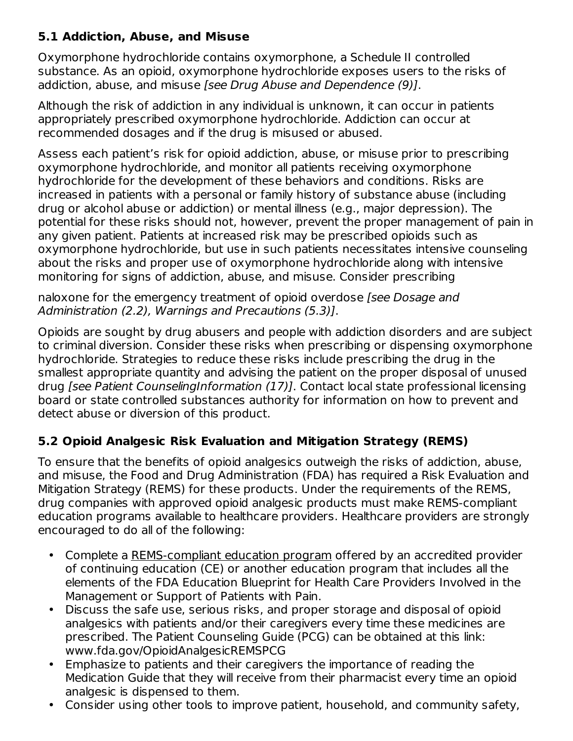## **5.1 Addiction, Abuse, and Misuse**

Oxymorphone hydrochloride contains oxymorphone, a Schedule II controlled substance. As an opioid, oxymorphone hydrochloride exposes users to the risks of addiction, abuse, and misuse [see Drug Abuse and Dependence (9)].

Although the risk of addiction in any individual is unknown, it can occur in patients appropriately prescribed oxymorphone hydrochloride. Addiction can occur at recommended dosages and if the drug is misused or abused.

Assess each patient's risk for opioid addiction, abuse, or misuse prior to prescribing oxymorphone hydrochloride, and monitor all patients receiving oxymorphone hydrochloride for the development of these behaviors and conditions. Risks are increased in patients with a personal or family history of substance abuse (including drug or alcohol abuse or addiction) or mental illness (e.g., major depression). The potential for these risks should not, however, prevent the proper management of pain in any given patient. Patients at increased risk may be prescribed opioids such as oxymorphone hydrochloride, but use in such patients necessitates intensive counseling about the risks and proper use of oxymorphone hydrochloride along with intensive monitoring for signs of addiction, abuse, and misuse. Consider prescribing

naloxone for the emergency treatment of opioid overdose [see Dosage and Administration (2.2), Warnings and Precautions (5.3)].

Opioids are sought by drug abusers and people with addiction disorders and are subject to criminal diversion. Consider these risks when prescribing or dispensing oxymorphone hydrochloride. Strategies to reduce these risks include prescribing the drug in the smallest appropriate quantity and advising the patient on the proper disposal of unused drug [see Patient CounselingInformation (17)]. Contact local state professional licensing board or state controlled substances authority for information on how to prevent and detect abuse or diversion of this product.

## **5.2 Opioid Analgesic Risk Evaluation and Mitigation Strategy (REMS)**

To ensure that the benefits of opioid analgesics outweigh the risks of addiction, abuse, and misuse, the Food and Drug Administration (FDA) has required a Risk Evaluation and Mitigation Strategy (REMS) for these products. Under the requirements of the REMS, drug companies with approved opioid analgesic products must make REMS-compliant education programs available to healthcare providers. Healthcare providers are strongly encouraged to do all of the following:

- Complete a REMS-compliant education program offered by an accredited provider of continuing education (CE) or another education program that includes all the elements of the FDA Education Blueprint for Health Care Providers Involved in the Management or Support of Patients with Pain.
- Discuss the safe use, serious risks, and proper storage and disposal of opioid analgesics with patients and/or their caregivers every time these medicines are prescribed. The Patient Counseling Guide (PCG) can be obtained at this link: www.fda.gov/OpioidAnalgesicREMSPCG
- Emphasize to patients and their caregivers the importance of reading the Medication Guide that they will receive from their pharmacist every time an opioid analgesic is dispensed to them.
- Consider using other tools to improve patient, household, and community safety,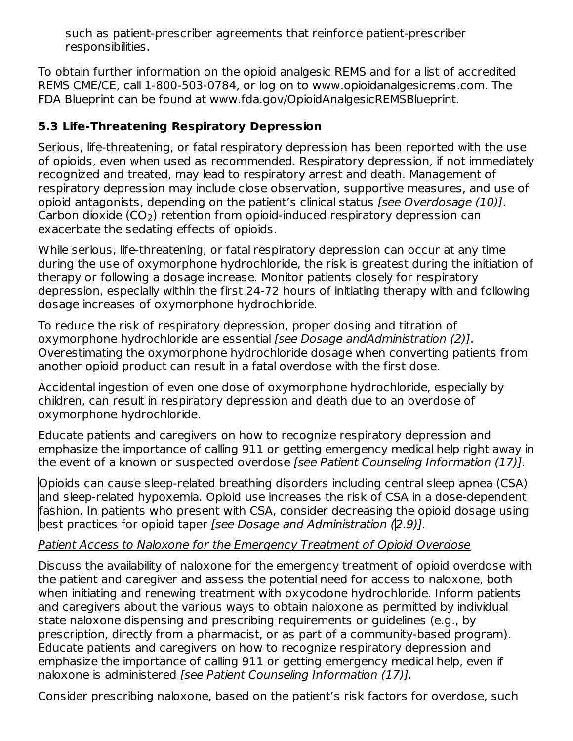such as patient-prescriber agreements that reinforce patient-prescriber responsibilities.

To obtain further information on the opioid analgesic REMS and for a list of accredited REMS CME/CE, call 1-800-503-0784, or log on to www.opioidanalgesicrems.com. The FDA Blueprint can be found at www.fda.gov/OpioidAnalgesicREMSBlueprint.

## **5.3 Life-Threatening Respiratory Depression**

Serious, life-threatening, or fatal respiratory depression has been reported with the use of opioids, even when used as recommended. Respiratory depression, if not immediately recognized and treated, may lead to respiratory arrest and death. Management of respiratory depression may include close observation, supportive measures, and use of opioid antagonists, depending on the patient's clinical status [see Overdosage (10)]. Carbon dioxide (CO<sub>2</sub>) retention from opioid-induced respiratory depression can exacerbate the sedating effects of opioids.

While serious, life-threatening, or fatal respiratory depression can occur at any time during the use of oxymorphone hydrochloride, the risk is greatest during the initiation of therapy or following a dosage increase. Monitor patients closely for respiratory depression, especially within the first 24-72 hours of initiating therapy with and following dosage increases of oxymorphone hydrochloride.

To reduce the risk of respiratory depression, proper dosing and titration of oxymorphone hydrochloride are essential [see Dosage andAdministration (2)]. Overestimating the oxymorphone hydrochloride dosage when converting patients from another opioid product can result in a fatal overdose with the first dose.

Accidental ingestion of even one dose of oxymorphone hydrochloride, especially by children, can result in respiratory depression and death due to an overdose of oxymorphone hydrochloride.

Educate patients and caregivers on how to recognize respiratory depression and emphasize the importance of calling 911 or getting emergency medical help right away in the event of a known or suspected overdose [see Patient Counseling Information (17)].

Opioids can cause sleep-related breathing disorders including central sleep apnea (CSA) and sleep-related hypoxemia. Opioid use increases the risk of CSA in a dose-dependent fashion. In patients who present with CSA, consider decreasing the opioid dosage using best practices for opioid taper [see Dosage and Administration (2.9)].

## Patient Access to Naloxone for the Emergency Treatment of Opioid Overdose

Discuss the availability of naloxone for the emergency treatment of opioid overdose with the patient and caregiver and assess the potential need for access to naloxone, both when initiating and renewing treatment with oxycodone hydrochloride. Inform patients and caregivers about the various ways to obtain naloxone as permitted by individual state naloxone dispensing and prescribing requirements or guidelines (e.g., by prescription, directly from a pharmacist, or as part of a community-based program). Educate patients and caregivers on how to recognize respiratory depression and emphasize the importance of calling 911 or getting emergency medical help, even if naloxone is administered [see Patient Counseling Information (17)].

Consider prescribing naloxone, based on the patient's risk factors for overdose, such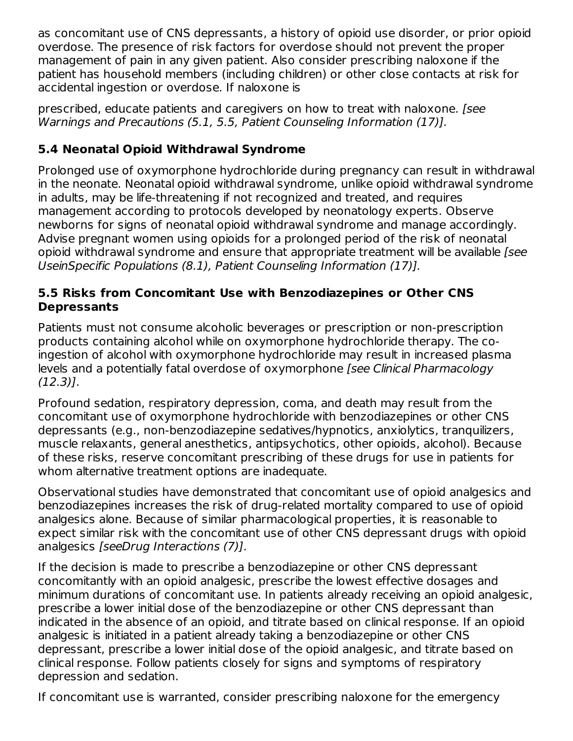as concomitant use of CNS depressants, a history of opioid use disorder, or prior opioid overdose. The presence of risk factors for overdose should not prevent the proper management of pain in any given patient. Also consider prescribing naloxone if the patient has household members (including children) or other close contacts at risk for accidental ingestion or overdose. If naloxone is

prescribed, educate patients and caregivers on how to treat with naloxone. [see Warnings and Precautions (5.1, 5.5, Patient Counseling Information (17)].

## **5.4 Neonatal Opioid Withdrawal Syndrome**

Prolonged use of oxymorphone hydrochloride during pregnancy can result in withdrawal in the neonate. Neonatal opioid withdrawal syndrome, unlike opioid withdrawal syndrome in adults, may be life-threatening if not recognized and treated, and requires management according to protocols developed by neonatology experts. Observe newborns for signs of neonatal opioid withdrawal syndrome and manage accordingly. Advise pregnant women using opioids for a prolonged period of the risk of neonatal opioid withdrawal syndrome and ensure that appropriate treatment will be available [see UseinSpecific Populations (8.1), Patient Counseling Information (17)].

### **5.5 Risks from Concomitant Use with Benzodiazepines or Other CNS Depressants**

Patients must not consume alcoholic beverages or prescription or non-prescription products containing alcohol while on oxymorphone hydrochloride therapy. The coingestion of alcohol with oxymorphone hydrochloride may result in increased plasma levels and a potentially fatal overdose of oxymorphone [see Clinical Pharmacology (12.3)].

Profound sedation, respiratory depression, coma, and death may result from the concomitant use of oxymorphone hydrochloride with benzodiazepines or other CNS depressants (e.g., non-benzodiazepine sedatives/hypnotics, anxiolytics, tranquilizers, muscle relaxants, general anesthetics, antipsychotics, other opioids, alcohol). Because of these risks, reserve concomitant prescribing of these drugs for use in patients for whom alternative treatment options are inadequate.

Observational studies have demonstrated that concomitant use of opioid analgesics and benzodiazepines increases the risk of drug-related mortality compared to use of opioid analgesics alone. Because of similar pharmacological properties, it is reasonable to expect similar risk with the concomitant use of other CNS depressant drugs with opioid analgesics [seeDrug Interactions (7)].

If the decision is made to prescribe a benzodiazepine or other CNS depressant concomitantly with an opioid analgesic, prescribe the lowest effective dosages and minimum durations of concomitant use. In patients already receiving an opioid analgesic, prescribe a lower initial dose of the benzodiazepine or other CNS depressant than indicated in the absence of an opioid, and titrate based on clinical response. If an opioid analgesic is initiated in a patient already taking a benzodiazepine or other CNS depressant, prescribe a lower initial dose of the opioid analgesic, and titrate based on clinical response. Follow patients closely for signs and symptoms of respiratory depression and sedation.

If concomitant use is warranted, consider prescribing naloxone for the emergency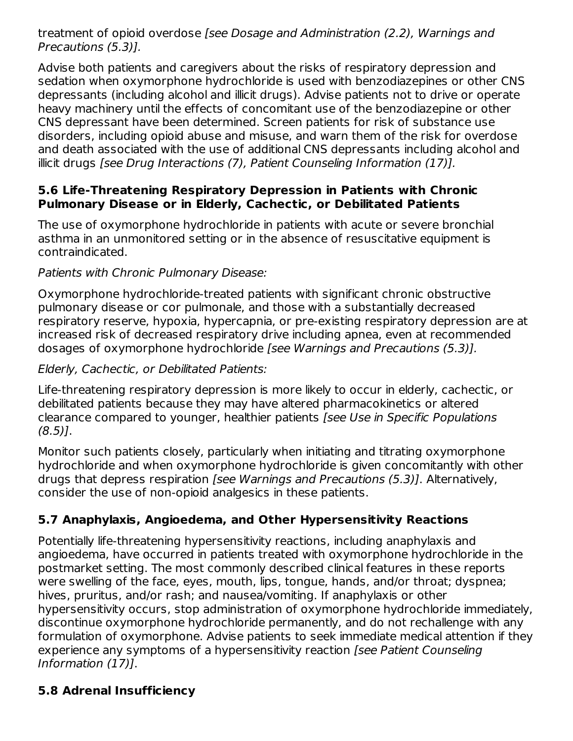treatment of opioid overdose [see Dosage and Administration (2.2), Warnings and Precautions (5.3)].

Advise both patients and caregivers about the risks of respiratory depression and sedation when oxymorphone hydrochloride is used with benzodiazepines or other CNS depressants (including alcohol and illicit drugs). Advise patients not to drive or operate heavy machinery until the effects of concomitant use of the benzodiazepine or other CNS depressant have been determined. Screen patients for risk of substance use disorders, including opioid abuse and misuse, and warn them of the risk for overdose and death associated with the use of additional CNS depressants including alcohol and illicit drugs [see Drug Interactions (7), Patient Counseling Information (17)].

### **5.6 Life-Threatening Respiratory Depression in Patients with Chronic Pulmonary Disease or in Elderly, Cachectic, or Debilitated Patients**

The use of oxymorphone hydrochloride in patients with acute or severe bronchial asthma in an unmonitored setting or in the absence of resuscitative equipment is contraindicated.

### Patients with Chronic Pulmonary Disease:

Oxymorphone hydrochloride-treated patients with significant chronic obstructive pulmonary disease or cor pulmonale, and those with a substantially decreased respiratory reserve, hypoxia, hypercapnia, or pre-existing respiratory depression are at increased risk of decreased respiratory drive including apnea, even at recommended dosages of oxymorphone hydrochloride [see Warnings and Precautions (5.3)].

Elderly, Cachectic, or Debilitated Patients:

Life-threatening respiratory depression is more likely to occur in elderly, cachectic, or debilitated patients because they may have altered pharmacokinetics or altered clearance compared to younger, healthier patients [see Use in Specific Populations  $(8.5)$ ].

Monitor such patients closely, particularly when initiating and titrating oxymorphone hydrochloride and when oxymorphone hydrochloride is given concomitantly with other drugs that depress respiration [see Warnings and Precautions (5.3)]. Alternatively, consider the use of non-opioid analgesics in these patients.

## **5.7 Anaphylaxis, Angioedema, and Other Hypersensitivity Reactions**

Potentially life-threatening hypersensitivity reactions, including anaphylaxis and angioedema, have occurred in patients treated with oxymorphone hydrochloride in the postmarket setting. The most commonly described clinical features in these reports were swelling of the face, eyes, mouth, lips, tongue, hands, and/or throat; dyspnea; hives, pruritus, and/or rash; and nausea/vomiting. If anaphylaxis or other hypersensitivity occurs, stop administration of oxymorphone hydrochloride immediately, discontinue oxymorphone hydrochloride permanently, and do not rechallenge with any formulation of oxymorphone. Advise patients to seek immediate medical attention if they experience any symptoms of a hypersensitivity reaction [see Patient Counseling Information (17)].

## **5.8 Adrenal Insufficiency**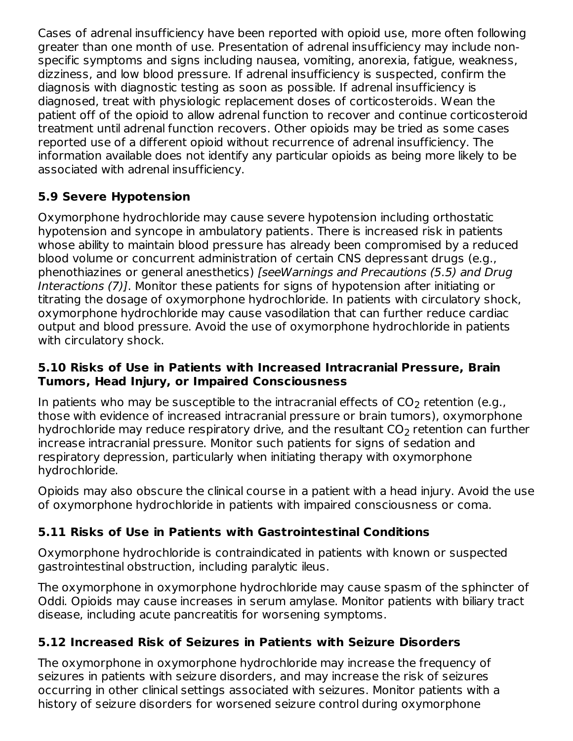Cases of adrenal insufficiency have been reported with opioid use, more often following greater than one month of use. Presentation of adrenal insufficiency may include nonspecific symptoms and signs including nausea, vomiting, anorexia, fatigue, weakness, dizziness, and low blood pressure. If adrenal insufficiency is suspected, confirm the diagnosis with diagnostic testing as soon as possible. If adrenal insufficiency is diagnosed, treat with physiologic replacement doses of corticosteroids. Wean the patient off of the opioid to allow adrenal function to recover and continue corticosteroid treatment until adrenal function recovers. Other opioids may be tried as some cases reported use of a different opioid without recurrence of adrenal insufficiency. The information available does not identify any particular opioids as being more likely to be associated with adrenal insufficiency.

## **5.9 Severe Hypotension**

Oxymorphone hydrochloride may cause severe hypotension including orthostatic hypotension and syncope in ambulatory patients. There is increased risk in patients whose ability to maintain blood pressure has already been compromised by a reduced blood volume or concurrent administration of certain CNS depressant drugs (e.g., phenothiazines or general anesthetics) [seeWarnings and Precautions (5.5) and Drug Interactions (7)]. Monitor these patients for signs of hypotension after initiating or titrating the dosage of oxymorphone hydrochloride. In patients with circulatory shock, oxymorphone hydrochloride may cause vasodilation that can further reduce cardiac output and blood pressure. Avoid the use of oxymorphone hydrochloride in patients with circulatory shock.

#### **5.10 Risks of Use in Patients with Increased Intracranial Pressure, Brain Tumors, Head Injury, or Impaired Consciousness**

In patients who may be susceptible to the intracranial effects of CO $_2$  retention (e.g., those with evidence of increased intracranial pressure or brain tumors), oxymorphone hydrochloride may reduce respiratory drive, and the resultant CO $_2$  retention can further increase intracranial pressure. Monitor such patients for signs of sedation and respiratory depression, particularly when initiating therapy with oxymorphone hydrochloride.

Opioids may also obscure the clinical course in a patient with a head injury. Avoid the use of oxymorphone hydrochloride in patients with impaired consciousness or coma.

# **5.11 Risks of Use in Patients with Gastrointestinal Conditions**

Oxymorphone hydrochloride is contraindicated in patients with known or suspected gastrointestinal obstruction, including paralytic ileus.

The oxymorphone in oxymorphone hydrochloride may cause spasm of the sphincter of Oddi. Opioids may cause increases in serum amylase. Monitor patients with biliary tract disease, including acute pancreatitis for worsening symptoms.

## **5.12 Increased Risk of Seizures in Patients with Seizure Disorders**

The oxymorphone in oxymorphone hydrochloride may increase the frequency of seizures in patients with seizure disorders, and may increase the risk of seizures occurring in other clinical settings associated with seizures. Monitor patients with a history of seizure disorders for worsened seizure control during oxymorphone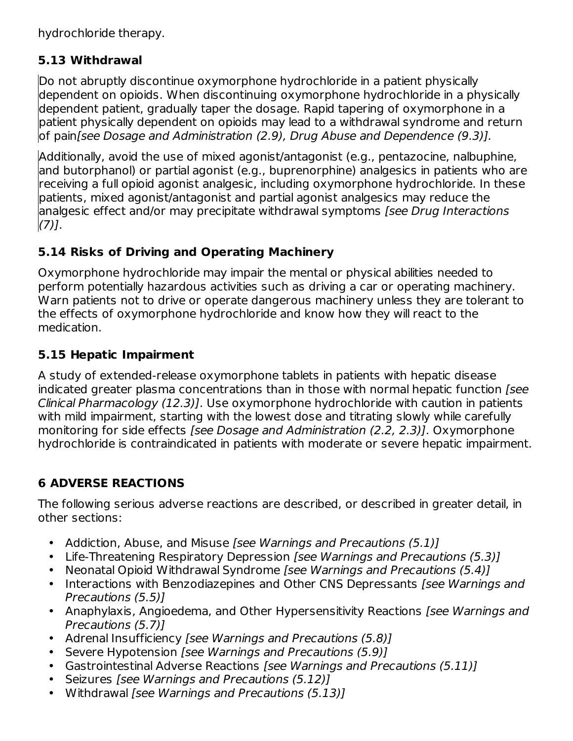hydrochloride therapy.

## **5.13 Withdrawal**

Do not abruptly discontinue oxymorphone hydrochloride in a patient physically dependent on opioids. When discontinuing oxymorphone hydrochloride in a physically dependent patient, gradually taper the dosage. Rapid tapering of oxymorphone in a patient physically dependent on opioids may lead to a withdrawal syndrome and return of pain[see Dosage and Administration (2.9), Drug Abuse and Dependence (9.3)].

Additionally, avoid the use of mixed agonist/antagonist (e.g., pentazocine, nalbuphine, and butorphanol) or partial agonist (e.g., buprenorphine) analgesics in patients who are receiving a full opioid agonist analgesic, including oxymorphone hydrochloride. In these patients, mixed agonist/antagonist and partial agonist analgesics may reduce the analgesic effect and/or may precipitate withdrawal symptoms [see Drug Interactions  $(7)$ ].

## **5.14 Risks of Driving and Operating Machinery**

Oxymorphone hydrochloride may impair the mental or physical abilities needed to perform potentially hazardous activities such as driving a car or operating machinery. Warn patients not to drive or operate dangerous machinery unless they are tolerant to the effects of oxymorphone hydrochloride and know how they will react to the medication.

## **5.15 Hepatic Impairment**

A study of extended-release oxymorphone tablets in patients with hepatic disease indicated greater plasma concentrations than in those with normal hepatic function [see Clinical Pharmacology (12.3)]. Use oxymorphone hydrochloride with caution in patients with mild impairment, starting with the lowest dose and titrating slowly while carefully monitoring for side effects [see Dosage and Administration (2.2, 2.3)]. Oxymorphone hydrochloride is contraindicated in patients with moderate or severe hepatic impairment.

## **6 ADVERSE REACTIONS**

The following serious adverse reactions are described, or described in greater detail, in other sections:

- $\bullet$ Addiction, Abuse, and Misuse [see Warnings and Precautions (5.1)]
- Life-Threatening Respiratory Depression [see Warnings and Precautions (5.3)]
- Neonatal Opioid Withdrawal Syndrome [see Warnings and Precautions (5.4)]
- Interactions with Benzodiazepines and Other CNS Depressants [see Warnings and Precautions (5.5)]
- Anaphylaxis, Angioedema, and Other Hypersensitivity Reactions [see Warnings and Precautions (5.7)]
- Adrenal Insufficiency [see Warnings and Precautions (5.8)]
- Severe Hypotension [see Warnings and Precautions (5.9)]
- Gastrointestinal Adverse Reactions [see Warnings and Precautions (5.11)]
- Seizures [see Warnings and Precautions (5.12)]
- Withdrawal [see Warnings and Precautions (5.13)]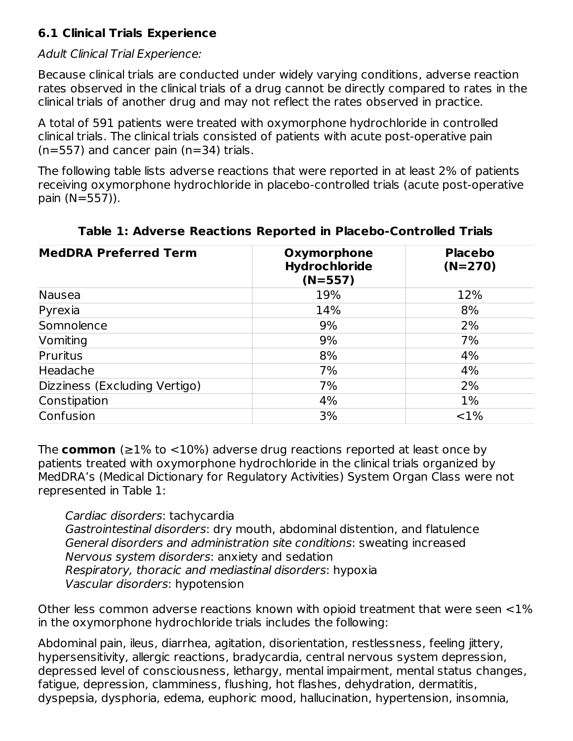## **6.1 Clinical Trials Experience**

#### Adult Clinical Trial Experience:

Because clinical trials are conducted under widely varying conditions, adverse reaction rates observed in the clinical trials of a drug cannot be directly compared to rates in the clinical trials of another drug and may not reflect the rates observed in practice.

A total of 591 patients were treated with oxymorphone hydrochloride in controlled clinical trials. The clinical trials consisted of patients with acute post-operative pain  $(n=557)$  and cancer pain  $(n=34)$  trials.

The following table lists adverse reactions that were reported in at least 2% of patients receiving oxymorphone hydrochloride in placebo-controlled trials (acute post-operative pain (N=557)).

| <b>MedDRA Preferred Term</b>  | Oxymorphone<br>Hydrochloride<br>$(N=557)$ | <b>Placebo</b><br>$(N=270)$ |
|-------------------------------|-------------------------------------------|-----------------------------|
| Nausea                        | 19%                                       | 12%                         |
| Pyrexia                       | 14%                                       | 8%                          |
| Somnolence                    | 9%                                        | 2%                          |
| Vomiting                      | 9%                                        | 7%                          |
| <b>Pruritus</b>               | 8%                                        | 4%                          |
| Headache                      | 7%                                        | 4%                          |
| Dizziness (Excluding Vertigo) | 7%                                        | 2%                          |
| Constipation                  | 4%                                        | $1\%$                       |
| Confusion                     | 3%                                        | <1%                         |

#### **Table 1: Adverse Reactions Reported in Placebo-Controlled Trials**

The **common** (≥1% to <10%) adverse drug reactions reported at least once by patients treated with oxymorphone hydrochloride in the clinical trials organized by MedDRA's (Medical Dictionary for Regulatory Activities) System Organ Class were not represented in Table 1:

Cardiac disorders: tachycardia Gastrointestinal disorders: dry mouth, abdominal distention, and flatulence General disorders and administration site conditions: sweating increased Nervous system disorders: anxiety and sedation Respiratory, thoracic and mediastinal disorders: hypoxia Vascular disorders: hypotension

Other less common adverse reactions known with opioid treatment that were seen <1% in the oxymorphone hydrochloride trials includes the following:

Abdominal pain, ileus, diarrhea, agitation, disorientation, restlessness, feeling jittery, hypersensitivity, allergic reactions, bradycardia, central nervous system depression, depressed level of consciousness, lethargy, mental impairment, mental status changes, fatigue, depression, clamminess, flushing, hot flashes, dehydration, dermatitis, dyspepsia, dysphoria, edema, euphoric mood, hallucination, hypertension, insomnia,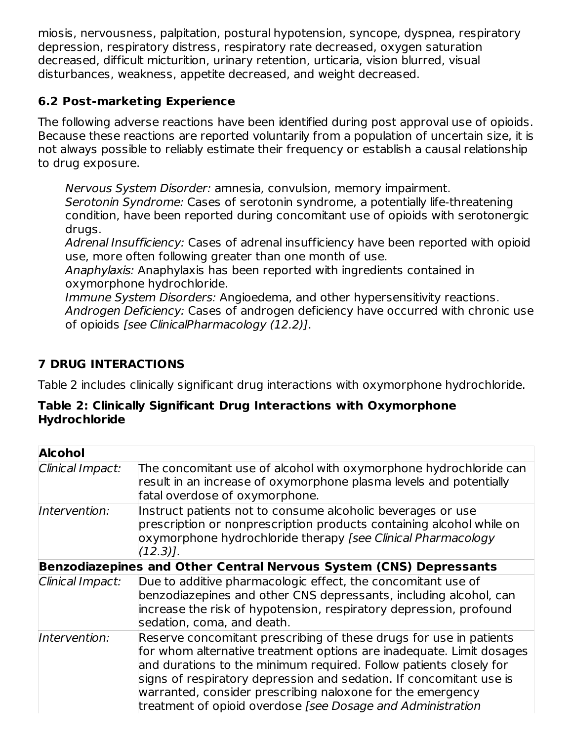miosis, nervousness, palpitation, postural hypotension, syncope, dyspnea, respiratory depression, respiratory distress, respiratory rate decreased, oxygen saturation decreased, difficult micturition, urinary retention, urticaria, vision blurred, visual disturbances, weakness, appetite decreased, and weight decreased.

## **6.2 Post-marketing Experience**

The following adverse reactions have been identified during post approval use of opioids. Because these reactions are reported voluntarily from a population of uncertain size, it is not always possible to reliably estimate their frequency or establish a causal relationship to drug exposure.

Nervous System Disorder: amnesia, convulsion, memory impairment. Serotonin Syndrome: Cases of serotonin syndrome, a potentially life-threatening condition, have been reported during concomitant use of opioids with serotonergic drugs.

Adrenal Insufficiency: Cases of adrenal insufficiency have been reported with opioid use, more often following greater than one month of use.

Anaphylaxis: Anaphylaxis has been reported with ingredients contained in oxymorphone hydrochloride.

Immune System Disorders: Angioedema, and other hypersensitivity reactions. Androgen Deficiency: Cases of androgen deficiency have occurred with chronic use of opioids [see ClinicalPharmacology (12.2)].

## **7 DRUG INTERACTIONS**

Table 2 includes clinically significant drug interactions with oxymorphone hydrochloride.

#### **Table 2: Clinically Significant Drug Interactions with Oxymorphone Hydrochloride**

| <b>Alcohol</b>   |                                                                                                                                                                                                                                                                                                                                                                                                                      |  |  |  |  |
|------------------|----------------------------------------------------------------------------------------------------------------------------------------------------------------------------------------------------------------------------------------------------------------------------------------------------------------------------------------------------------------------------------------------------------------------|--|--|--|--|
| Clinical Impact: | The concomitant use of alcohol with oxymorphone hydrochloride can<br>result in an increase of oxymorphone plasma levels and potentially<br>fatal overdose of oxymorphone.                                                                                                                                                                                                                                            |  |  |  |  |
| Intervention:    | Instruct patients not to consume alcoholic beverages or use<br>prescription or nonprescription products containing alcohol while on<br>oxymorphone hydrochloride therapy [see Clinical Pharmacology<br>$(12.3)$ .                                                                                                                                                                                                    |  |  |  |  |
|                  | Benzodiazepines and Other Central Nervous System (CNS) Depressants                                                                                                                                                                                                                                                                                                                                                   |  |  |  |  |
| Clinical Impact: | Due to additive pharmacologic effect, the concomitant use of<br>benzodiazepines and other CNS depressants, including alcohol, can<br>increase the risk of hypotension, respiratory depression, profound<br>sedation, coma, and death.                                                                                                                                                                                |  |  |  |  |
| Intervention:    | Reserve concomitant prescribing of these drugs for use in patients<br>for whom alternative treatment options are inadequate. Limit dosages<br>and durations to the minimum required. Follow patients closely for<br>signs of respiratory depression and sedation. If concomitant use is<br>warranted, consider prescribing naloxone for the emergency<br>treatment of opioid overdose [see Dosage and Administration |  |  |  |  |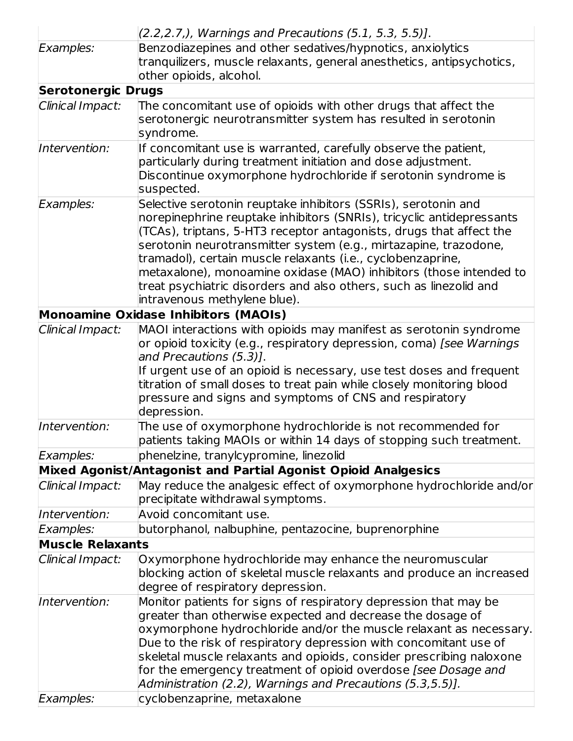|                           | $(2.2, 2.7)$ , Warnings and Precautions $(5.1, 5.3, 5.5)$ ].                                                                      |
|---------------------------|-----------------------------------------------------------------------------------------------------------------------------------|
| Examples:                 | Benzodiazepines and other sedatives/hypnotics, anxiolytics                                                                        |
|                           | tranquilizers, muscle relaxants, general anesthetics, antipsychotics,                                                             |
|                           | other opioids, alcohol.                                                                                                           |
| <b>Serotonergic Drugs</b> |                                                                                                                                   |
| Clinical Impact:          | The concomitant use of opioids with other drugs that affect the                                                                   |
|                           | serotonergic neurotransmitter system has resulted in serotonin                                                                    |
|                           | syndrome.                                                                                                                         |
| Intervention:             | If concomitant use is warranted, carefully observe the patient,                                                                   |
|                           | particularly during treatment initiation and dose adjustment.                                                                     |
|                           | Discontinue oxymorphone hydrochloride if serotonin syndrome is                                                                    |
|                           | suspected.                                                                                                                        |
| Examples:                 | Selective serotonin reuptake inhibitors (SSRIs), serotonin and                                                                    |
|                           | norepinephrine reuptake inhibitors (SNRIs), tricyclic antidepressants                                                             |
|                           | (TCAs), triptans, 5-HT3 receptor antagonists, drugs that affect the                                                               |
|                           | serotonin neurotransmitter system (e.g., mirtazapine, trazodone,                                                                  |
|                           | tramadol), certain muscle relaxants (i.e., cyclobenzaprine,<br>metaxalone), monoamine oxidase (MAO) inhibitors (those intended to |
|                           | treat psychiatric disorders and also others, such as linezolid and                                                                |
|                           | intravenous methylene blue).                                                                                                      |
|                           | <b>Monoamine Oxidase Inhibitors (MAOIs)</b>                                                                                       |
| Clinical Impact:          | MAOI interactions with opioids may manifest as serotonin syndrome                                                                 |
|                           | or opioid toxicity (e.g., respiratory depression, coma) [see Warnings                                                             |
|                           | and Precautions (5.3)].                                                                                                           |
|                           | If urgent use of an opioid is necessary, use test doses and frequent                                                              |
|                           | titration of small doses to treat pain while closely monitoring blood                                                             |
|                           | pressure and signs and symptoms of CNS and respiratory                                                                            |
|                           | depression.                                                                                                                       |
| Intervention:             | The use of oxymorphone hydrochloride is not recommended for                                                                       |
|                           | patients taking MAOIs or within 14 days of stopping such treatment.                                                               |
| Examples:                 | phenelzine, tranylcypromine, linezolid                                                                                            |
|                           | Mixed Agonist/Antagonist and Partial Agonist Opioid Analgesics                                                                    |
| Clinical Impact:          | May reduce the analgesic effect of oxymorphone hydrochloride and/or                                                               |
|                           | precipitate withdrawal symptoms.                                                                                                  |
| Intervention:             | Avoid concomitant use.                                                                                                            |
| Examples:                 | butorphanol, nalbuphine, pentazocine, buprenorphine                                                                               |
| <b>Muscle Relaxants</b>   |                                                                                                                                   |
| Clinical Impact:          | Oxymorphone hydrochloride may enhance the neuromuscular                                                                           |
|                           | blocking action of skeletal muscle relaxants and produce an increased                                                             |
|                           | degree of respiratory depression.                                                                                                 |
| Intervention:             | Monitor patients for signs of respiratory depression that may be                                                                  |
|                           | greater than otherwise expected and decrease the dosage of                                                                        |
|                           | oxymorphone hydrochloride and/or the muscle relaxant as necessary.                                                                |
|                           | Due to the risk of respiratory depression with concomitant use of                                                                 |
|                           | skeletal muscle relaxants and opioids, consider prescribing naloxone                                                              |
|                           | for the emergency treatment of opioid overdose [see Dosage and                                                                    |
|                           | Administration (2.2), Warnings and Precautions (5.3,5.5)].                                                                        |
| Examples:                 | cyclobenzaprine, metaxalone                                                                                                       |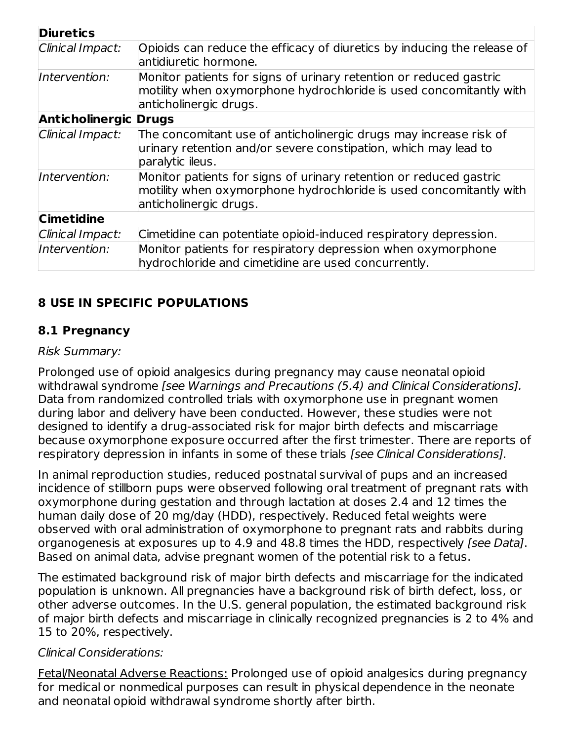| <b>Diuretics</b>             |                                                                                                                                                                    |  |  |
|------------------------------|--------------------------------------------------------------------------------------------------------------------------------------------------------------------|--|--|
| Clinical Impact:             | Opioids can reduce the efficacy of diuretics by inducing the release of<br>antidiuretic hormone.                                                                   |  |  |
| Intervention:                | Monitor patients for signs of urinary retention or reduced gastric<br>motility when oxymorphone hydrochloride is used concomitantly with<br>anticholinergic drugs. |  |  |
| <b>Anticholinergic Drugs</b> |                                                                                                                                                                    |  |  |
| Clinical Impact:             | The concomitant use of anticholinergic drugs may increase risk of<br>urinary retention and/or severe constipation, which may lead to<br>paralytic ileus.           |  |  |
| Intervention:                | Monitor patients for signs of urinary retention or reduced gastric<br>motility when oxymorphone hydrochloride is used concomitantly with<br>anticholinergic drugs. |  |  |
| <b>Cimetidine</b>            |                                                                                                                                                                    |  |  |
| Clinical Impact:             | Cimetidine can potentiate opioid-induced respiratory depression.                                                                                                   |  |  |
| Intervention:                | Monitor patients for respiratory depression when oxymorphone<br>hydrochloride and cimetidine are used concurrently.                                                |  |  |

## **8 USE IN SPECIFIC POPULATIONS**

### **8.1 Pregnancy**

#### Risk Summary:

Prolonged use of opioid analgesics during pregnancy may cause neonatal opioid withdrawal syndrome [see Warnings and Precautions (5.4) and Clinical Considerations]. Data from randomized controlled trials with oxymorphone use in pregnant women during labor and delivery have been conducted. However, these studies were not designed to identify a drug-associated risk for major birth defects and miscarriage because oxymorphone exposure occurred after the first trimester. There are reports of respiratory depression in infants in some of these trials *[see Clinical Considerations].* 

In animal reproduction studies, reduced postnatal survival of pups and an increased incidence of stillborn pups were observed following oral treatment of pregnant rats with oxymorphone during gestation and through lactation at doses 2.4 and 12 times the human daily dose of 20 mg/day (HDD), respectively. Reduced fetal weights were observed with oral administration of oxymorphone to pregnant rats and rabbits during organogenesis at exposures up to 4.9 and 48.8 times the HDD, respectively [see Data]. Based on animal data, advise pregnant women of the potential risk to a fetus.

The estimated background risk of major birth defects and miscarriage for the indicated population is unknown. All pregnancies have a background risk of birth defect, loss, or other adverse outcomes. In the U.S. general population, the estimated background risk of major birth defects and miscarriage in clinically recognized pregnancies is 2 to 4% and 15 to 20%, respectively.

#### Clinical Considerations:

Fetal/Neonatal Adverse Reactions: Prolonged use of opioid analgesics during pregnancy for medical or nonmedical purposes can result in physical dependence in the neonate and neonatal opioid withdrawal syndrome shortly after birth.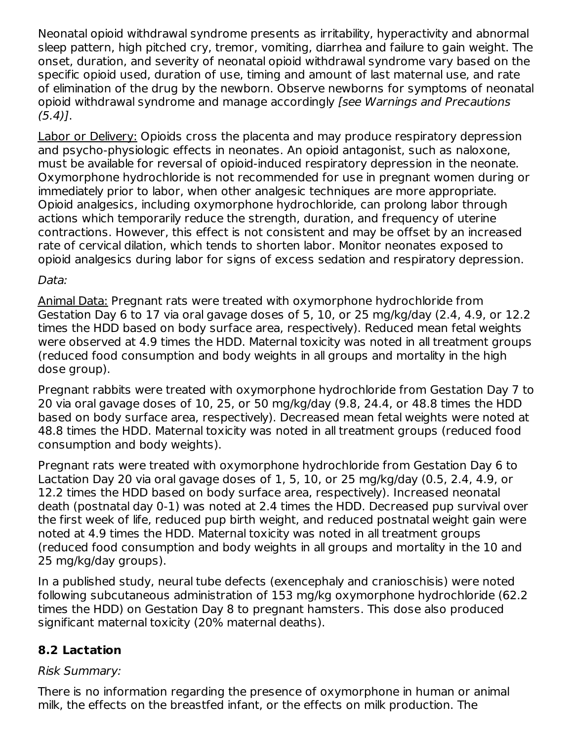Neonatal opioid withdrawal syndrome presents as irritability, hyperactivity and abnormal sleep pattern, high pitched cry, tremor, vomiting, diarrhea and failure to gain weight. The onset, duration, and severity of neonatal opioid withdrawal syndrome vary based on the specific opioid used, duration of use, timing and amount of last maternal use, and rate of elimination of the drug by the newborn. Observe newborns for symptoms of neonatal opioid withdrawal syndrome and manage accordingly [see Warnings and Precautions  $(5.4)$ .

Labor or Delivery: Opioids cross the placenta and may produce respiratory depression and psycho-physiologic effects in neonates. An opioid antagonist, such as naloxone, must be available for reversal of opioid-induced respiratory depression in the neonate. Oxymorphone hydrochloride is not recommended for use in pregnant women during or immediately prior to labor, when other analgesic techniques are more appropriate. Opioid analgesics, including oxymorphone hydrochloride, can prolong labor through actions which temporarily reduce the strength, duration, and frequency of uterine contractions. However, this effect is not consistent and may be offset by an increased rate of cervical dilation, which tends to shorten labor. Monitor neonates exposed to opioid analgesics during labor for signs of excess sedation and respiratory depression.

#### Data:

Animal Data: Pregnant rats were treated with oxymorphone hydrochloride from Gestation Day 6 to 17 via oral gavage doses of 5, 10, or 25 mg/kg/day (2.4, 4.9, or 12.2 times the HDD based on body surface area, respectively). Reduced mean fetal weights were observed at 4.9 times the HDD. Maternal toxicity was noted in all treatment groups (reduced food consumption and body weights in all groups and mortality in the high dose group).

Pregnant rabbits were treated with oxymorphone hydrochloride from Gestation Day 7 to 20 via oral gavage doses of 10, 25, or 50 mg/kg/day (9.8, 24.4, or 48.8 times the HDD based on body surface area, respectively). Decreased mean fetal weights were noted at 48.8 times the HDD. Maternal toxicity was noted in all treatment groups (reduced food consumption and body weights).

Pregnant rats were treated with oxymorphone hydrochloride from Gestation Day 6 to Lactation Day 20 via oral gavage doses of 1, 5, 10, or 25 mg/kg/day (0.5, 2.4, 4.9, or 12.2 times the HDD based on body surface area, respectively). Increased neonatal death (postnatal day 0-1) was noted at 2.4 times the HDD. Decreased pup survival over the first week of life, reduced pup birth weight, and reduced postnatal weight gain were noted at 4.9 times the HDD. Maternal toxicity was noted in all treatment groups (reduced food consumption and body weights in all groups and mortality in the 10 and 25 mg/kg/day groups).

In a published study, neural tube defects (exencephaly and cranioschisis) were noted following subcutaneous administration of 153 mg/kg oxymorphone hydrochloride (62.2 times the HDD) on Gestation Day 8 to pregnant hamsters. This dose also produced significant maternal toxicity (20% maternal deaths).

## **8.2 Lactation**

#### Risk Summary:

There is no information regarding the presence of oxymorphone in human or animal milk, the effects on the breastfed infant, or the effects on milk production. The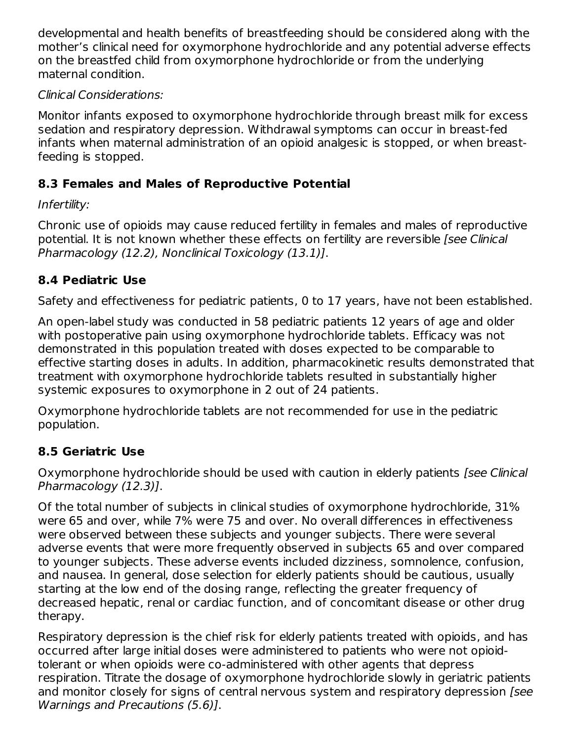developmental and health benefits of breastfeeding should be considered along with the mother's clinical need for oxymorphone hydrochloride and any potential adverse effects on the breastfed child from oxymorphone hydrochloride or from the underlying maternal condition.

## Clinical Considerations:

Monitor infants exposed to oxymorphone hydrochloride through breast milk for excess sedation and respiratory depression. Withdrawal symptoms can occur in breast-fed infants when maternal administration of an opioid analgesic is stopped, or when breastfeeding is stopped.

## **8.3 Females and Males of Reproductive Potential**

## Infertility:

Chronic use of opioids may cause reduced fertility in females and males of reproductive potential. It is not known whether these effects on fertility are reversible [see Clinical Pharmacology (12.2), Nonclinical Toxicology (13.1)].

## **8.4 Pediatric Use**

Safety and effectiveness for pediatric patients, 0 to 17 years, have not been established.

An open-label study was conducted in 58 pediatric patients 12 years of age and older with postoperative pain using oxymorphone hydrochloride tablets. Efficacy was not demonstrated in this population treated with doses expected to be comparable to effective starting doses in adults. In addition, pharmacokinetic results demonstrated that treatment with oxymorphone hydrochloride tablets resulted in substantially higher systemic exposures to oxymorphone in 2 out of 24 patients.

Oxymorphone hydrochloride tablets are not recommended for use in the pediatric population.

## **8.5 Geriatric Use**

Oxymorphone hydrochloride should be used with caution in elderly patients [see Clinical Pharmacology (12.3)].

Of the total number of subjects in clinical studies of oxymorphone hydrochloride, 31% were 65 and over, while 7% were 75 and over. No overall differences in effectiveness were observed between these subjects and younger subjects. There were several adverse events that were more frequently observed in subjects 65 and over compared to younger subjects. These adverse events included dizziness, somnolence, confusion, and nausea. In general, dose selection for elderly patients should be cautious, usually starting at the low end of the dosing range, reflecting the greater frequency of decreased hepatic, renal or cardiac function, and of concomitant disease or other drug therapy.

Respiratory depression is the chief risk for elderly patients treated with opioids, and has occurred after large initial doses were administered to patients who were not opioidtolerant or when opioids were co-administered with other agents that depress respiration. Titrate the dosage of oxymorphone hydrochloride slowly in geriatric patients and monitor closely for signs of central nervous system and respiratory depression [see Warnings and Precautions (5.6)].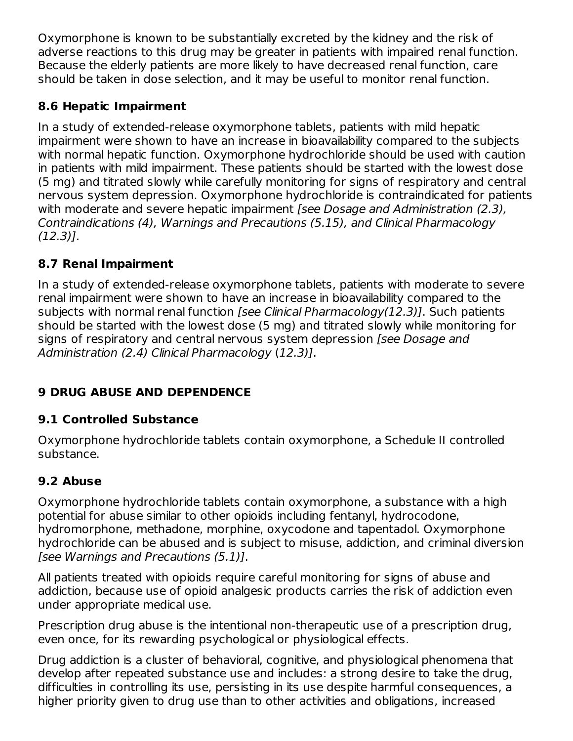Oxymorphone is known to be substantially excreted by the kidney and the risk of adverse reactions to this drug may be greater in patients with impaired renal function. Because the elderly patients are more likely to have decreased renal function, care should be taken in dose selection, and it may be useful to monitor renal function.

## **8.6 Hepatic Impairment**

In a study of extended-release oxymorphone tablets, patients with mild hepatic impairment were shown to have an increase in bioavailability compared to the subjects with normal hepatic function. Oxymorphone hydrochloride should be used with caution in patients with mild impairment. These patients should be started with the lowest dose (5 mg) and titrated slowly while carefully monitoring for signs of respiratory and central nervous system depression. Oxymorphone hydrochloride is contraindicated for patients with moderate and severe hepatic impairment *[see Dosage and Administration (2.3)*, Contraindications (4), Warnings and Precautions (5.15), and Clinical Pharmacology (12.3)].

## **8.7 Renal Impairment**

In a study of extended-release oxymorphone tablets, patients with moderate to severe renal impairment were shown to have an increase in bioavailability compared to the subjects with normal renal function [see Clinical Pharmacology(12.3)]. Such patients should be started with the lowest dose (5 mg) and titrated slowly while monitoring for signs of respiratory and central nervous system depression [see Dosage and Administration (2.4) Clinical Pharmacology (12.3)].

# **9 DRUG ABUSE AND DEPENDENCE**

## **9.1 Controlled Substance**

Oxymorphone hydrochloride tablets contain oxymorphone, a Schedule II controlled substance.

## **9.2 Abuse**

Oxymorphone hydrochloride tablets contain oxymorphone, a substance with a high potential for abuse similar to other opioids including fentanyl, hydrocodone, hydromorphone, methadone, morphine, oxycodone and tapentadol. Oxymorphone hydrochloride can be abused and is subject to misuse, addiction, and criminal diversion [see Warnings and Precautions (5.1)].

All patients treated with opioids require careful monitoring for signs of abuse and addiction, because use of opioid analgesic products carries the risk of addiction even under appropriate medical use.

Prescription drug abuse is the intentional non-therapeutic use of a prescription drug, even once, for its rewarding psychological or physiological effects.

Drug addiction is a cluster of behavioral, cognitive, and physiological phenomena that develop after repeated substance use and includes: a strong desire to take the drug, difficulties in controlling its use, persisting in its use despite harmful consequences, a higher priority given to drug use than to other activities and obligations, increased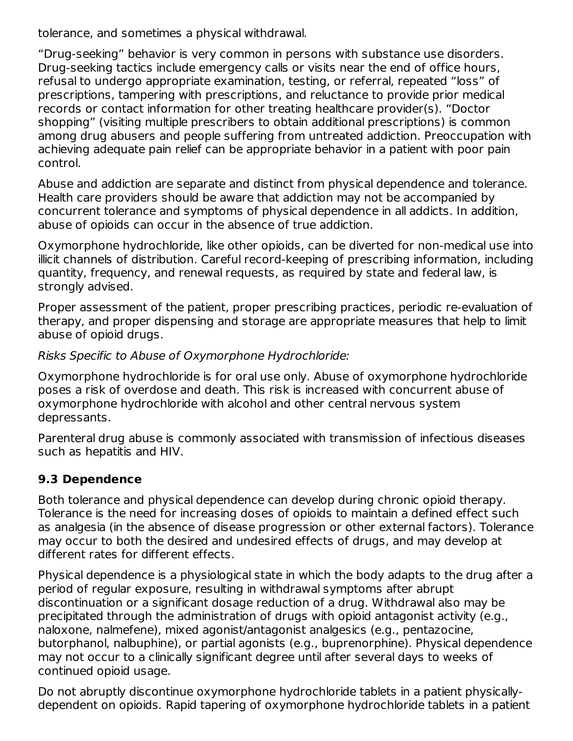tolerance, and sometimes a physical withdrawal.

"Drug-seeking" behavior is very common in persons with substance use disorders. Drug-seeking tactics include emergency calls or visits near the end of office hours, refusal to undergo appropriate examination, testing, or referral, repeated "loss" of prescriptions, tampering with prescriptions, and reluctance to provide prior medical records or contact information for other treating healthcare provider(s). "Doctor shopping" (visiting multiple prescribers to obtain additional prescriptions) is common among drug abusers and people suffering from untreated addiction. Preoccupation with achieving adequate pain relief can be appropriate behavior in a patient with poor pain control.

Abuse and addiction are separate and distinct from physical dependence and tolerance. Health care providers should be aware that addiction may not be accompanied by concurrent tolerance and symptoms of physical dependence in all addicts. In addition, abuse of opioids can occur in the absence of true addiction.

Oxymorphone hydrochloride, like other opioids, can be diverted for non-medical use into illicit channels of distribution. Careful record-keeping of prescribing information, including quantity, frequency, and renewal requests, as required by state and federal law, is strongly advised.

Proper assessment of the patient, proper prescribing practices, periodic re-evaluation of therapy, and proper dispensing and storage are appropriate measures that help to limit abuse of opioid drugs.

Risks Specific to Abuse of Oxymorphone Hydrochloride:

Oxymorphone hydrochloride is for oral use only. Abuse of oxymorphone hydrochloride poses a risk of overdose and death. This risk is increased with concurrent abuse of oxymorphone hydrochloride with alcohol and other central nervous system depressants.

Parenteral drug abuse is commonly associated with transmission of infectious diseases such as hepatitis and HIV.

## **9.3 Dependence**

Both tolerance and physical dependence can develop during chronic opioid therapy. Tolerance is the need for increasing doses of opioids to maintain a defined effect such as analgesia (in the absence of disease progression or other external factors). Tolerance may occur to both the desired and undesired effects of drugs, and may develop at different rates for different effects.

Physical dependence is a physiological state in which the body adapts to the drug after a period of regular exposure, resulting in withdrawal symptoms after abrupt discontinuation or a significant dosage reduction of a drug. Withdrawal also may be precipitated through the administration of drugs with opioid antagonist activity (e.g., naloxone, nalmefene), mixed agonist/antagonist analgesics (e.g., pentazocine, butorphanol, nalbuphine), or partial agonists (e.g., buprenorphine). Physical dependence may not occur to a clinically significant degree until after several days to weeks of continued opioid usage.

Do not abruptly discontinue oxymorphone hydrochloride tablets in a patient physicallydependent on opioids. Rapid tapering of oxymorphone hydrochloride tablets in a patient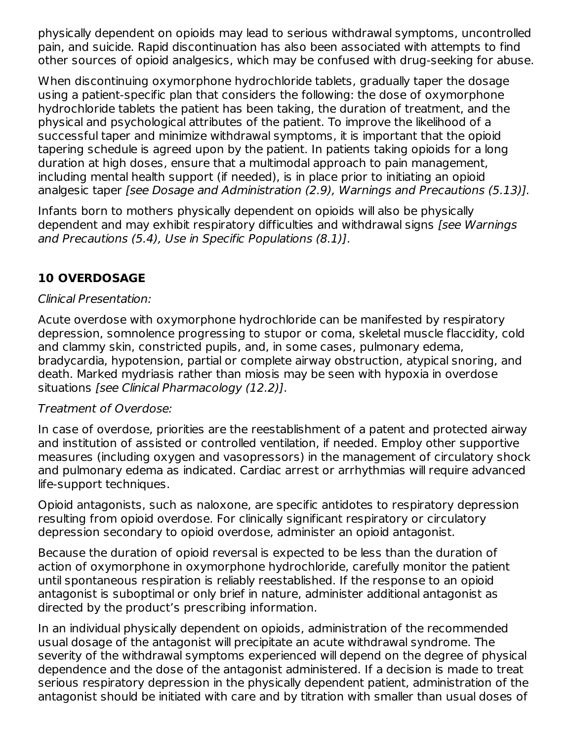physically dependent on opioids may lead to serious withdrawal symptoms, uncontrolled pain, and suicide. Rapid discontinuation has also been associated with attempts to find other sources of opioid analgesics, which may be confused with drug-seeking for abuse.

When discontinuing oxymorphone hydrochloride tablets, gradually taper the dosage using a patient-specific plan that considers the following: the dose of oxymorphone hydrochloride tablets the patient has been taking, the duration of treatment, and the physical and psychological attributes of the patient. To improve the likelihood of a successful taper and minimize withdrawal symptoms, it is important that the opioid tapering schedule is agreed upon by the patient. In patients taking opioids for a long duration at high doses, ensure that a multimodal approach to pain management, including mental health support (if needed), is in place prior to initiating an opioid analgesic taper [see Dosage and Administration (2.9), Warnings and Precautions (5.13)].

Infants born to mothers physically dependent on opioids will also be physically dependent and may exhibit respiratory difficulties and withdrawal signs [see Warnings and Precautions (5.4), Use in Specific Populations (8.1)].

## **10 OVERDOSAGE**

### Clinical Presentation:

Acute overdose with oxymorphone hydrochloride can be manifested by respiratory depression, somnolence progressing to stupor or coma, skeletal muscle flaccidity, cold and clammy skin, constricted pupils, and, in some cases, pulmonary edema, bradycardia, hypotension, partial or complete airway obstruction, atypical snoring, and death. Marked mydriasis rather than miosis may be seen with hypoxia in overdose situations [see Clinical Pharmacology (12.2)].

#### Treatment of Overdose:

In case of overdose, priorities are the reestablishment of a patent and protected airway and institution of assisted or controlled ventilation, if needed. Employ other supportive measures (including oxygen and vasopressors) in the management of circulatory shock and pulmonary edema as indicated. Cardiac arrest or arrhythmias will require advanced life-support techniques.

Opioid antagonists, such as naloxone, are specific antidotes to respiratory depression resulting from opioid overdose. For clinically significant respiratory or circulatory depression secondary to opioid overdose, administer an opioid antagonist.

Because the duration of opioid reversal is expected to be less than the duration of action of oxymorphone in oxymorphone hydrochloride, carefully monitor the patient until spontaneous respiration is reliably reestablished. If the response to an opioid antagonist is suboptimal or only brief in nature, administer additional antagonist as directed by the product's prescribing information.

In an individual physically dependent on opioids, administration of the recommended usual dosage of the antagonist will precipitate an acute withdrawal syndrome. The severity of the withdrawal symptoms experienced will depend on the degree of physical dependence and the dose of the antagonist administered. If a decision is made to treat serious respiratory depression in the physically dependent patient, administration of the antagonist should be initiated with care and by titration with smaller than usual doses of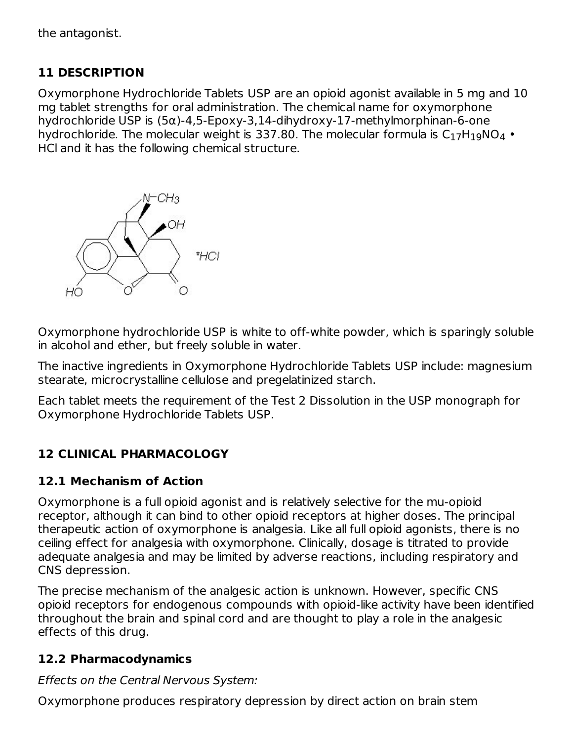the antagonist.

## **11 DESCRIPTION**

Oxymorphone Hydrochloride Tablets USP are an opioid agonist available in 5 mg and 10 mg tablet strengths for oral administration. The chemical name for oxymorphone hydrochloride USP is (5α)-4,5-Epoxy-3,14-dihydroxy-17-methylmorphinan-6-one hydrochloride. The molecular weight is 337.80. The molecular formula is  $\mathsf{C}_1{}_{7}\mathsf{H}_1{}_{9}\mathsf{NO}_4$  • HCl and it has the following chemical structure.



Oxymorphone hydrochloride USP is white to off-white powder, which is sparingly soluble in alcohol and ether, but freely soluble in water.

The inactive ingredients in Oxymorphone Hydrochloride Tablets USP include: magnesium stearate, microcrystalline cellulose and pregelatinized starch.

Each tablet meets the requirement of the Test 2 Dissolution in the USP monograph for Oxymorphone Hydrochloride Tablets USP.

## **12 CLINICAL PHARMACOLOGY**

#### **12.1 Mechanism of Action**

Oxymorphone is a full opioid agonist and is relatively selective for the mu-opioid receptor, although it can bind to other opioid receptors at higher doses. The principal therapeutic action of oxymorphone is analgesia. Like all full opioid agonists, there is no ceiling effect for analgesia with oxymorphone. Clinically, dosage is titrated to provide adequate analgesia and may be limited by adverse reactions, including respiratory and CNS depression.

The precise mechanism of the analgesic action is unknown. However, specific CNS opioid receptors for endogenous compounds with opioid-like activity have been identified throughout the brain and spinal cord and are thought to play a role in the analgesic effects of this drug.

#### **12.2 Pharmacodynamics**

Effects on the Central Nervous System:

Oxymorphone produces respiratory depression by direct action on brain stem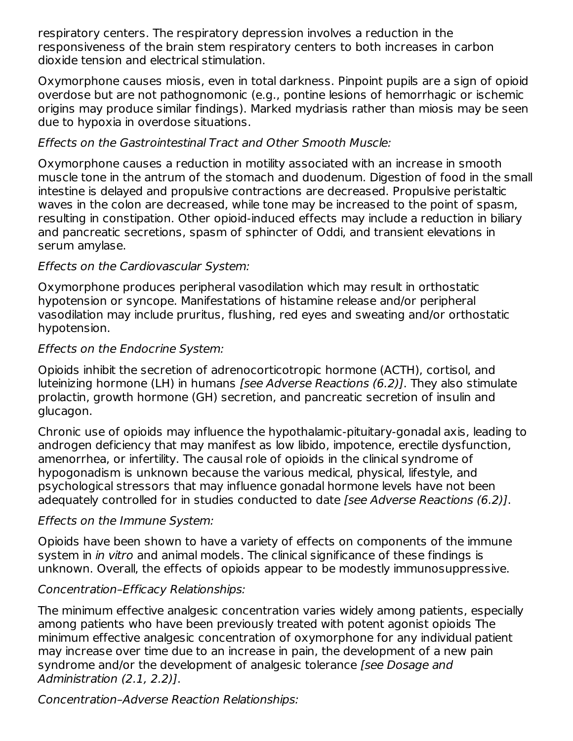respiratory centers. The respiratory depression involves a reduction in the responsiveness of the brain stem respiratory centers to both increases in carbon dioxide tension and electrical stimulation.

Oxymorphone causes miosis, even in total darkness. Pinpoint pupils are a sign of opioid overdose but are not pathognomonic (e.g., pontine lesions of hemorrhagic or ischemic origins may produce similar findings). Marked mydriasis rather than miosis may be seen due to hypoxia in overdose situations.

### Effects on the Gastrointestinal Tract and Other Smooth Muscle:

Oxymorphone causes a reduction in motility associated with an increase in smooth muscle tone in the antrum of the stomach and duodenum. Digestion of food in the small intestine is delayed and propulsive contractions are decreased. Propulsive peristaltic waves in the colon are decreased, while tone may be increased to the point of spasm, resulting in constipation. Other opioid-induced effects may include a reduction in biliary and pancreatic secretions, spasm of sphincter of Oddi, and transient elevations in serum amylase.

### Effects on the Cardiovascular System:

Oxymorphone produces peripheral vasodilation which may result in orthostatic hypotension or syncope. Manifestations of histamine release and/or peripheral vasodilation may include pruritus, flushing, red eyes and sweating and/or orthostatic hypotension.

### Effects on the Endocrine System:

Opioids inhibit the secretion of adrenocorticotropic hormone (ACTH), cortisol, and luteinizing hormone (LH) in humans [see Adverse Reactions (6.2)]. They also stimulate prolactin, growth hormone (GH) secretion, and pancreatic secretion of insulin and glucagon.

Chronic use of opioids may influence the hypothalamic-pituitary-gonadal axis, leading to androgen deficiency that may manifest as low libido, impotence, erectile dysfunction, amenorrhea, or infertility. The causal role of opioids in the clinical syndrome of hypogonadism is unknown because the various medical, physical, lifestyle, and psychological stressors that may influence gonadal hormone levels have not been adequately controlled for in studies conducted to date [see Adverse Reactions (6.2)].

## Effects on the Immune System:

Opioids have been shown to have a variety of effects on components of the immune system in *in vitro* and animal models. The clinical significance of these findings is unknown. Overall, the effects of opioids appear to be modestly immunosuppressive.

#### Concentration–Efficacy Relationships:

The minimum effective analgesic concentration varies widely among patients, especially among patients who have been previously treated with potent agonist opioids The minimum effective analgesic concentration of oxymorphone for any individual patient may increase over time due to an increase in pain, the development of a new pain syndrome and/or the development of analgesic tolerance [see Dosage and Administration (2.1, 2.2)].

## Concentration–Adverse Reaction Relationships: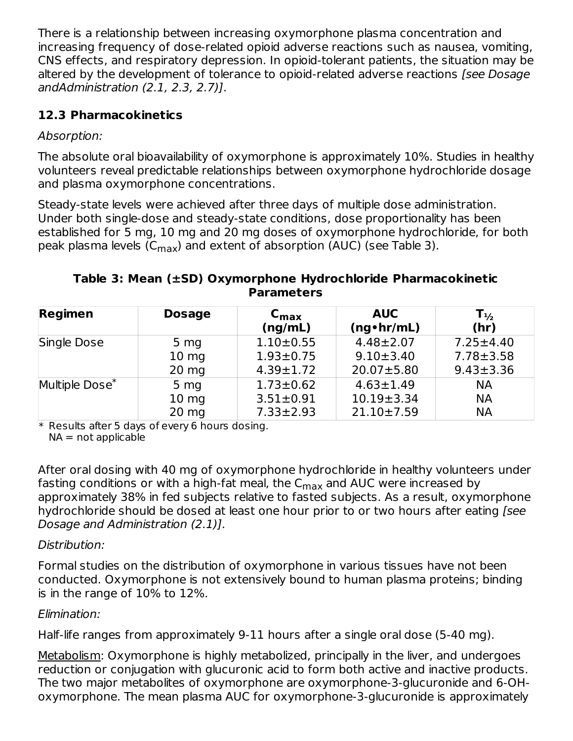There is a relationship between increasing oxymorphone plasma concentration and increasing frequency of dose-related opioid adverse reactions such as nausea, vomiting, CNS effects, and respiratory depression. In opioid-tolerant patients, the situation may be altered by the development of tolerance to opioid-related adverse reactions [see Dosage] andAdministration (2.1, 2.3, 2.7)].

## **12.3 Pharmacokinetics**

## Absorption:

The absolute oral bioavailability of oxymorphone is approximately 10%. Studies in healthy volunteers reveal predictable relationships between oxymorphone hydrochloride dosage and plasma oxymorphone concentrations.

Steady-state levels were achieved after three days of multiple dose administration. Under both single-dose and steady-state conditions, dose proportionality has been established for 5 mg, 10 mg and 20 mg doses of oxymorphone hydrochloride, for both peak plasma levels (C $_{\sf max}$ ) and extent of absorption (AUC) (see Table 3).

### **Table 3: Mean (±SD) Oxymorphone Hydrochloride Pharmacokinetic Parameters**

| <b>Regimen</b>             | <b>Dosage</b>    | $C_{\text{max}}$<br>(ng/mL) | <b>AUC</b><br>$(ng\cdot hr/mL)$ | $\mathsf{T}_{\frac{1}{2}}$<br>(hr) |
|----------------------------|------------------|-----------------------------|---------------------------------|------------------------------------|
| Single Dose                | 5 <sub>mg</sub>  | $1.10 \pm 0.55$             | $4.48 \pm 2.07$                 | $7.25 \pm 4.40$                    |
|                            | $10 \, mg$       | $1.93 \pm 0.75$             | $9.10 \pm 3.40$                 | $7.78 \pm 3.58$                    |
|                            | $20 \text{ mg}$  | $4.39 \pm 1.72$             | $20.07 \pm 5.80$                | $9.43 \pm 3.36$                    |
| Multiple Dose <sup>*</sup> | 5 <sub>mg</sub>  | $1.73 \pm 0.62$             | $4.63 \pm 1.49$                 | <b>NA</b>                          |
|                            | 10 <sub>mg</sub> | $3.51 \pm 0.91$             | $10.19 \pm 3.34$                | <b>NA</b>                          |
|                            | $20 \text{ mg}$  | $7.33 \pm 2.93$             | $21.10 \pm 7.59$                | <b>NA</b>                          |

\* Results after 5 days of every 6 hours dosing.

 $NA = not applicable$ 

After oral dosing with 40 mg of oxymorphone hydrochloride in healthy volunteers under fasting conditions or with a high-fat meal, the  $\mathsf{C}_{\mathsf{max}}$  and AUC were increased by approximately 38% in fed subjects relative to fasted subjects. As a result, oxymorphone hydrochloride should be dosed at least one hour prior to or two hours after eating [see Dosage and Administration (2.1)].

## Distribution:

Formal studies on the distribution of oxymorphone in various tissues have not been conducted. Oxymorphone is not extensively bound to human plasma proteins; binding is in the range of 10% to 12%.

## Elimination:

Half-life ranges from approximately 9-11 hours after a single oral dose (5-40 mg).

Metabolism: Oxymorphone is highly metabolized, principally in the liver, and undergoes reduction or conjugation with glucuronic acid to form both active and inactive products. The two major metabolites of oxymorphone are oxymorphone-3-glucuronide and 6-OHoxymorphone. The mean plasma AUC for oxymorphone-3-glucuronide is approximately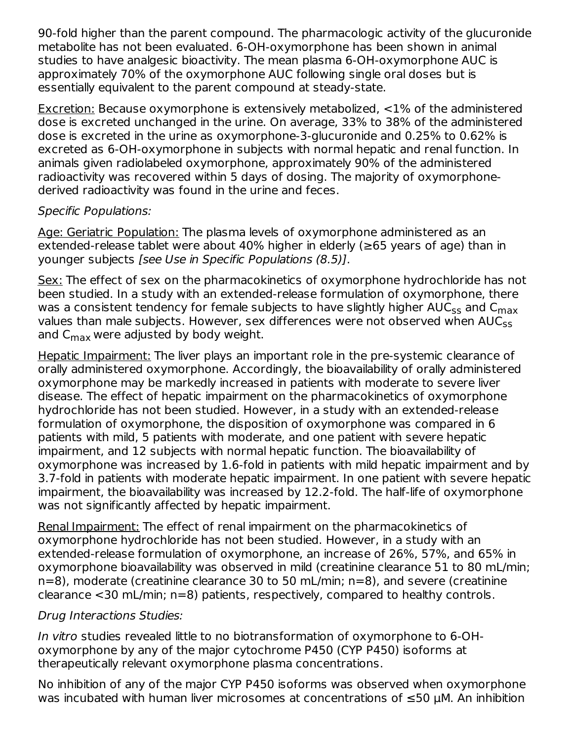90-fold higher than the parent compound. The pharmacologic activity of the glucuronide metabolite has not been evaluated. 6-OH-oxymorphone has been shown in animal studies to have analgesic bioactivity. The mean plasma 6-OH-oxymorphone AUC is approximately 70% of the oxymorphone AUC following single oral doses but is essentially equivalent to the parent compound at steady-state.

Excretion: Because oxymorphone is extensively metabolized, <1% of the administered dose is excreted unchanged in the urine. On average, 33% to 38% of the administered dose is excreted in the urine as oxymorphone-3-glucuronide and 0.25% to 0.62% is excreted as 6-OH-oxymorphone in subjects with normal hepatic and renal function. In animals given radiolabeled oxymorphone, approximately 90% of the administered radioactivity was recovered within 5 days of dosing. The majority of oxymorphonederived radioactivity was found in the urine and feces.

#### Specific Populations:

Age: Geriatric Population: The plasma levels of oxymorphone administered as an extended-release tablet were about 40% higher in elderly ( $\geq$ 65 years of age) than in younger subjects [see Use in Specific Populations (8.5)].

Sex: The effect of sex on the pharmacokinetics of oxymorphone hydrochloride has not been studied. In a study with an extended-release formulation of oxymorphone, there was a consistent tendency for female subjects to have slightly higher AUC $_{\rm ss}$  and C $_{\rm max}$ values than male subjects. However, sex differences were not observed when AUC<sub>ss</sub> and  $\mathsf{C}_{\mathsf{max}}$  were adjusted by body weight.

Hepatic Impairment: The liver plays an important role in the pre-systemic clearance of orally administered oxymorphone. Accordingly, the bioavailability of orally administered oxymorphone may be markedly increased in patients with moderate to severe liver disease. The effect of hepatic impairment on the pharmacokinetics of oxymorphone hydrochloride has not been studied. However, in a study with an extended-release formulation of oxymorphone, the disposition of oxymorphone was compared in 6 patients with mild, 5 patients with moderate, and one patient with severe hepatic impairment, and 12 subjects with normal hepatic function. The bioavailability of oxymorphone was increased by 1.6-fold in patients with mild hepatic impairment and by 3.7-fold in patients with moderate hepatic impairment. In one patient with severe hepatic impairment, the bioavailability was increased by 12.2-fold. The half-life of oxymorphone was not significantly affected by hepatic impairment.

Renal Impairment: The effect of renal impairment on the pharmacokinetics of oxymorphone hydrochloride has not been studied. However, in a study with an extended-release formulation of oxymorphone, an increase of 26%, 57%, and 65% in oxymorphone bioavailability was observed in mild (creatinine clearance 51 to 80 mL/min; n=8), moderate (creatinine clearance 30 to 50 mL/min; n=8), and severe (creatinine clearance <30 mL/min; n=8) patients, respectively, compared to healthy controls.

#### Drug Interactions Studies:

In vitro studies revealed little to no biotransformation of oxymorphone to 6-OHoxymorphone by any of the major cytochrome P450 (CYP P450) isoforms at therapeutically relevant oxymorphone plasma concentrations.

No inhibition of any of the major CYP P450 isoforms was observed when oxymorphone was incubated with human liver microsomes at concentrations of ≤50 µM. An inhibition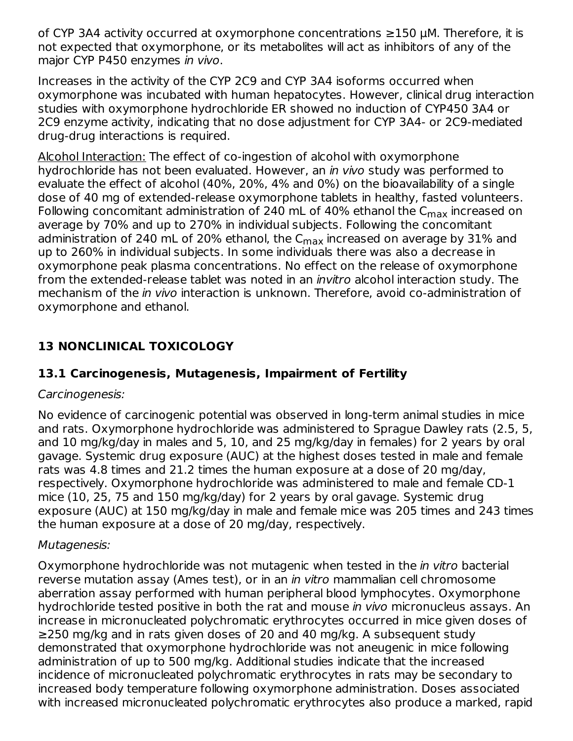of CYP 3A4 activity occurred at oxymorphone concentrations ≥150 µM. Therefore, it is not expected that oxymorphone, or its metabolites will act as inhibitors of any of the major CYP P450 enzymes in vivo.

Increases in the activity of the CYP 2C9 and CYP 3A4 isoforms occurred when oxymorphone was incubated with human hepatocytes. However, clinical drug interaction studies with oxymorphone hydrochloride ER showed no induction of CYP450 3A4 or 2C9 enzyme activity, indicating that no dose adjustment for CYP 3A4- or 2C9-mediated drug-drug interactions is required.

Alcohol Interaction: The effect of co-ingestion of alcohol with oxymorphone hydrochloride has not been evaluated. However, an in vivo study was performed to evaluate the effect of alcohol (40%, 20%, 4% and 0%) on the bioavailability of a single dose of 40 mg of extended-release oxymorphone tablets in healthy, fasted volunteers. Following concomitant administration of 240 mL of 40% ethanol the C<sub>max</sub> increased on average by 70% and up to 270% in individual subjects. Following the concomitant administration of 240 mL of 20% ethanol, the C $_{\sf max}$  increased on average by 31% and up to 260% in individual subjects. In some individuals there was also a decrease in oxymorphone peak plasma concentrations. No effect on the release of oxymorphone from the extended-release tablet was noted in an *invitro* alcohol interaction study. The mechanism of the in vivo interaction is unknown. Therefore, avoid co-administration of oxymorphone and ethanol.

## **13 NONCLINICAL TOXICOLOGY**

## **13.1 Carcinogenesis, Mutagenesis, Impairment of Fertility**

#### Carcinogenesis:

No evidence of carcinogenic potential was observed in long-term animal studies in mice and rats. Oxymorphone hydrochloride was administered to Sprague Dawley rats (2.5, 5, and 10 mg/kg/day in males and 5, 10, and 25 mg/kg/day in females) for 2 years by oral gavage. Systemic drug exposure (AUC) at the highest doses tested in male and female rats was 4.8 times and 21.2 times the human exposure at a dose of 20 mg/day, respectively. Oxymorphone hydrochloride was administered to male and female CD-1 mice (10, 25, 75 and 150 mg/kg/day) for 2 years by oral gavage. Systemic drug exposure (AUC) at 150 mg/kg/day in male and female mice was 205 times and 243 times the human exposure at a dose of 20 mg/day, respectively.

#### Mutagenesis:

Oxymorphone hydrochloride was not mutagenic when tested in the *in vitro* bacterial reverse mutation assay (Ames test), or in an in vitro mammalian cell chromosome aberration assay performed with human peripheral blood lymphocytes. Oxymorphone hydrochloride tested positive in both the rat and mouse in vivo micronucleus assays. An increase in micronucleated polychromatic erythrocytes occurred in mice given doses of ≥250 mg/kg and in rats given doses of 20 and 40 mg/kg. A subsequent study demonstrated that oxymorphone hydrochloride was not aneugenic in mice following administration of up to 500 mg/kg. Additional studies indicate that the increased incidence of micronucleated polychromatic erythrocytes in rats may be secondary to increased body temperature following oxymorphone administration. Doses associated with increased micronucleated polychromatic erythrocytes also produce a marked, rapid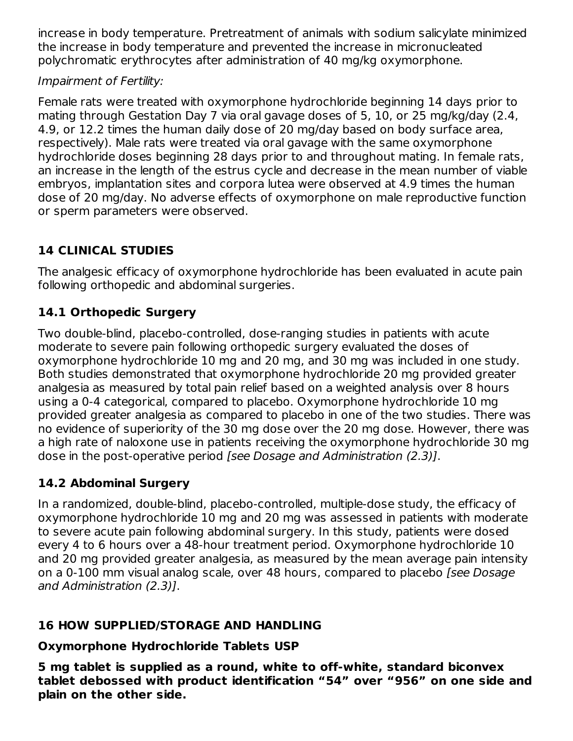increase in body temperature. Pretreatment of animals with sodium salicylate minimized the increase in body temperature and prevented the increase in micronucleated polychromatic erythrocytes after administration of 40 mg/kg oxymorphone.

## Impairment of Fertility:

Female rats were treated with oxymorphone hydrochloride beginning 14 days prior to mating through Gestation Day 7 via oral gavage doses of 5, 10, or 25 mg/kg/day (2.4, 4.9, or 12.2 times the human daily dose of 20 mg/day based on body surface area, respectively). Male rats were treated via oral gavage with the same oxymorphone hydrochloride doses beginning 28 days prior to and throughout mating. In female rats, an increase in the length of the estrus cycle and decrease in the mean number of viable embryos, implantation sites and corpora lutea were observed at 4.9 times the human dose of 20 mg/day. No adverse effects of oxymorphone on male reproductive function or sperm parameters were observed.

# **14 CLINICAL STUDIES**

The analgesic efficacy of oxymorphone hydrochloride has been evaluated in acute pain following orthopedic and abdominal surgeries.

# **14.1 Orthopedic Surgery**

Two double-blind, placebo-controlled, dose-ranging studies in patients with acute moderate to severe pain following orthopedic surgery evaluated the doses of oxymorphone hydrochloride 10 mg and 20 mg, and 30 mg was included in one study. Both studies demonstrated that oxymorphone hydrochloride 20 mg provided greater analgesia as measured by total pain relief based on a weighted analysis over 8 hours using a 0-4 categorical, compared to placebo. Oxymorphone hydrochloride 10 mg provided greater analgesia as compared to placebo in one of the two studies. There was no evidence of superiority of the 30 mg dose over the 20 mg dose. However, there was a high rate of naloxone use in patients receiving the oxymorphone hydrochloride 30 mg dose in the post-operative period [see Dosage and Administration (2.3)].

## **14.2 Abdominal Surgery**

In a randomized, double-blind, placebo-controlled, multiple-dose study, the efficacy of oxymorphone hydrochloride 10 mg and 20 mg was assessed in patients with moderate to severe acute pain following abdominal surgery. In this study, patients were dosed every 4 to 6 hours over a 48-hour treatment period. Oxymorphone hydrochloride 10 and 20 mg provided greater analgesia, as measured by the mean average pain intensity on a 0-100 mm visual analog scale, over 48 hours, compared to placebo [see Dosage and Administration (2.3)].

## **16 HOW SUPPLIED/STORAGE AND HANDLING**

## **Oxymorphone Hydrochloride Tablets USP**

**5 mg tablet is supplied as a round, white to off-white, standard biconvex tablet debossed with product identification "54" over "956" on one side and plain on the other side.**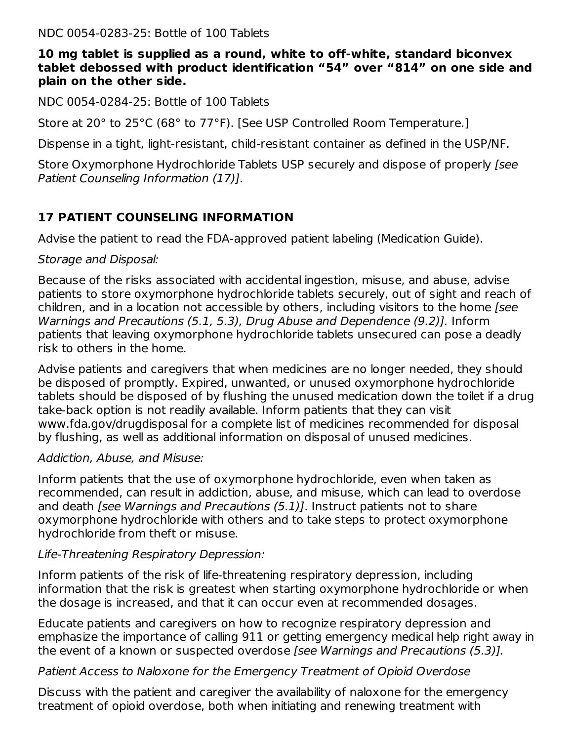NDC 0054-0283-25: Bottle of 100 Tablets

#### **10 mg tablet is supplied as a round, white to off-white, standard biconvex tablet debossed with product identification "54" over "814" on one side and plain on the other side.**

NDC 0054-0284-25: Bottle of 100 Tablets

Store at 20° to 25°C (68° to 77°F). [See USP Controlled Room Temperature.]

Dispense in a tight, light-resistant, child-resistant container as defined in the USP/NF.

Store Oxymorphone Hydrochloride Tablets USP securely and dispose of properly [see Patient Counseling Information (17)].

## **17 PATIENT COUNSELING INFORMATION**

Advise the patient to read the FDA-approved patient labeling (Medication Guide).

#### Storage and Disposal:

Because of the risks associated with accidental ingestion, misuse, and abuse, advise patients to store oxymorphone hydrochloride tablets securely, out of sight and reach of children, and in a location not accessible by others, including visitors to the home [see Warnings and Precautions (5.1, 5.3), Drug Abuse and Dependence (9.2)]. Inform patients that leaving oxymorphone hydrochloride tablets unsecured can pose a deadly risk to others in the home.

Advise patients and caregivers that when medicines are no longer needed, they should be disposed of promptly. Expired, unwanted, or unused oxymorphone hydrochloride tablets should be disposed of by flushing the unused medication down the toilet if a drug take-back option is not readily available. Inform patients that they can visit www.fda.gov/drugdisposal for a complete list of medicines recommended for disposal by flushing, as well as additional information on disposal of unused medicines.

#### Addiction, Abuse, and Misuse:

Inform patients that the use of oxymorphone hydrochloride, even when taken as recommended, can result in addiction, abuse, and misuse, which can lead to overdose and death *[see Warnings and Precautions (5.1)]*. Instruct patients not to share oxymorphone hydrochloride with others and to take steps to protect oxymorphone hydrochloride from theft or misuse.

#### Life-Threatening Respiratory Depression:

Inform patients of the risk of life-threatening respiratory depression, including information that the risk is greatest when starting oxymorphone hydrochloride or when the dosage is increased, and that it can occur even at recommended dosages.

Educate patients and caregivers on how to recognize respiratory depression and emphasize the importance of calling 911 or getting emergency medical help right away in the event of a known or suspected overdose [see Warnings and Precautions (5.3)].

#### Patient Access to Naloxone for the Emergency Treatment of Opioid Overdose

Discuss with the patient and caregiver the availability of naloxone for the emergency treatment of opioid overdose, both when initiating and renewing treatment with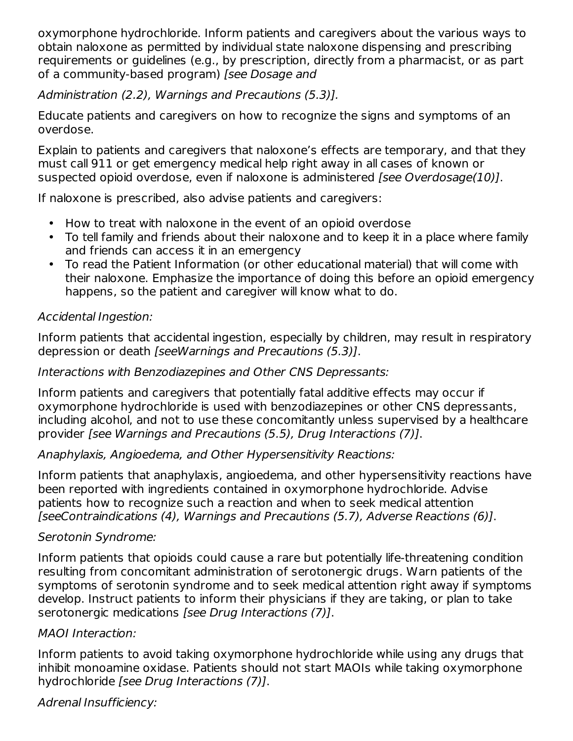oxymorphone hydrochloride. Inform patients and caregivers about the various ways to obtain naloxone as permitted by individual state naloxone dispensing and prescribing requirements or guidelines (e.g., by prescription, directly from a pharmacist, or as part of a community-based program) [see Dosage and

Administration (2.2), Warnings and Precautions (5.3)].

Educate patients and caregivers on how to recognize the signs and symptoms of an overdose.

Explain to patients and caregivers that naloxone's effects are temporary, and that they must call 911 or get emergency medical help right away in all cases of known or suspected opioid overdose, even if naloxone is administered [see Overdosage(10)].

If naloxone is prescribed, also advise patients and caregivers:

- How to treat with naloxone in the event of an opioid overdose
- To tell family and friends about their naloxone and to keep it in a place where family and friends can access it in an emergency
- To read the Patient Information (or other educational material) that will come with their naloxone. Emphasize the importance of doing this before an opioid emergency happens, so the patient and caregiver will know what to do.

## Accidental Ingestion:

Inform patients that accidental ingestion, especially by children, may result in respiratory depression or death [seeWarnings and Precautions (5.3)].

## Interactions with Benzodiazepines and Other CNS Depressants:

Inform patients and caregivers that potentially fatal additive effects may occur if oxymorphone hydrochloride is used with benzodiazepines or other CNS depressants, including alcohol, and not to use these concomitantly unless supervised by a healthcare provider [see Warnings and Precautions (5.5), Drug Interactions (7)].

## Anaphylaxis, Angioedema, and Other Hypersensitivity Reactions:

Inform patients that anaphylaxis, angioedema, and other hypersensitivity reactions have been reported with ingredients contained in oxymorphone hydrochloride. Advise patients how to recognize such a reaction and when to seek medical attention [seeContraindications (4), Warnings and Precautions (5.7), Adverse Reactions (6)].

## Serotonin Syndrome:

Inform patients that opioids could cause a rare but potentially life-threatening condition resulting from concomitant administration of serotonergic drugs. Warn patients of the symptoms of serotonin syndrome and to seek medical attention right away if symptoms develop. Instruct patients to inform their physicians if they are taking, or plan to take serotonergic medications [see Drug Interactions (7)].

## MAOI Interaction:

Inform patients to avoid taking oxymorphone hydrochloride while using any drugs that inhibit monoamine oxidase. Patients should not start MAOIs while taking oxymorphone hydrochloride [see Drug Interactions (7)].

Adrenal Insufficiency: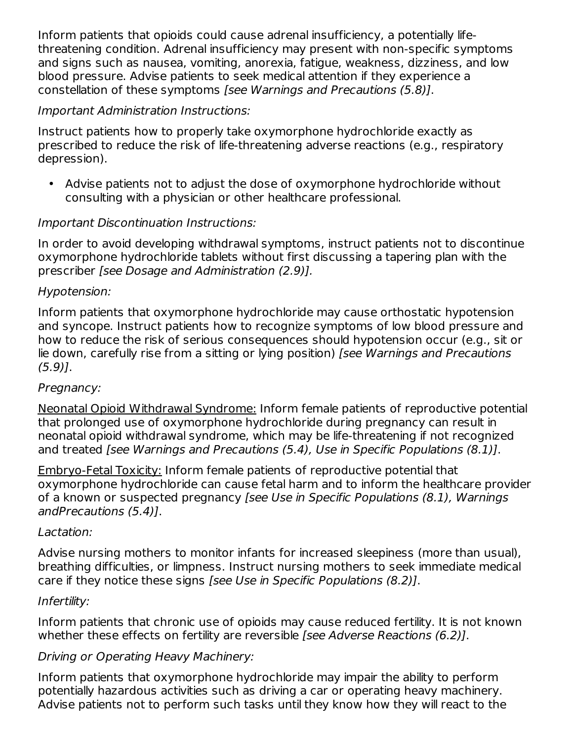Inform patients that opioids could cause adrenal insufficiency, a potentially lifethreatening condition. Adrenal insufficiency may present with non-specific symptoms and signs such as nausea, vomiting, anorexia, fatigue, weakness, dizziness, and low blood pressure. Advise patients to seek medical attention if they experience a constellation of these symptoms [see Warnings and Precautions (5.8)].

### Important Administration Instructions:

Instruct patients how to properly take oxymorphone hydrochloride exactly as prescribed to reduce the risk of life-threatening adverse reactions (e.g., respiratory depression).

• Advise patients not to adjust the dose of oxymorphone hydrochloride without consulting with a physician or other healthcare professional.

### Important Discontinuation Instructions:

In order to avoid developing withdrawal symptoms, instruct patients not to discontinue oxymorphone hydrochloride tablets without first discussing a tapering plan with the prescriber [see Dosage and Administration (2.9)].

#### Hypotension:

Inform patients that oxymorphone hydrochloride may cause orthostatic hypotension and syncope. Instruct patients how to recognize symptoms of low blood pressure and how to reduce the risk of serious consequences should hypotension occur (e.g., sit or lie down, carefully rise from a sitting or lying position) [see Warnings and Precautions (5.9)].

#### Pregnancy:

Neonatal Opioid Withdrawal Syndrome: Inform female patients of reproductive potential that prolonged use of oxymorphone hydrochloride during pregnancy can result in neonatal opioid withdrawal syndrome, which may be life-threatening if not recognized and treated [see Warnings and Precautions (5.4), Use in Specific Populations (8.1)].

Embryo-Fetal Toxicity: Inform female patients of reproductive potential that oxymorphone hydrochloride can cause fetal harm and to inform the healthcare provider of a known or suspected pregnancy [see Use in Specific Populations (8.1), Warnings andPrecautions (5.4)].

#### Lactation:

Advise nursing mothers to monitor infants for increased sleepiness (more than usual), breathing difficulties, or limpness. Instruct nursing mothers to seek immediate medical care if they notice these signs [see Use in Specific Populations (8.2)].

#### Infertility:

Inform patients that chronic use of opioids may cause reduced fertility. It is not known whether these effects on fertility are reversible [see Adverse Reactions (6.2)].

## Driving or Operating Heavy Machinery:

Inform patients that oxymorphone hydrochloride may impair the ability to perform potentially hazardous activities such as driving a car or operating heavy machinery. Advise patients not to perform such tasks until they know how they will react to the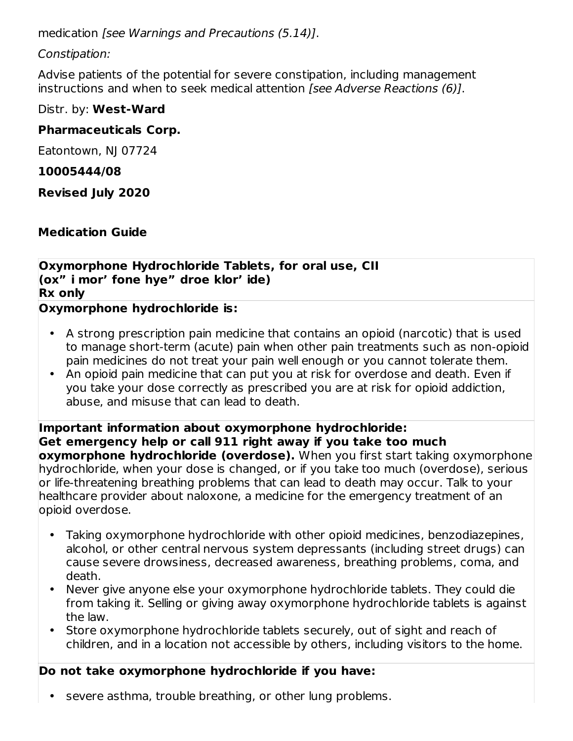medication [see Warnings and Precautions (5.14)].

## Constipation:

Advise patients of the potential for severe constipation, including management instructions and when to seek medical attention *[see Adverse Reactions (6)]*.

## Distr. by: **West-Ward**

## **Pharmaceuticals Corp.**

Eatontown, NJ 07724

## **10005444/08**

**Revised July 2020**

## **Medication Guide**

**Oxymorphone Hydrochloride Tablets, for oral use, CII (ox" i mor' fone hye" droe klor' ide) Rx only**

## **Oxymorphone hydrochloride is:**

- A strong prescription pain medicine that contains an opioid (narcotic) that is used to manage short-term (acute) pain when other pain treatments such as non-opioid pain medicines do not treat your pain well enough or you cannot tolerate them.
- An opioid pain medicine that can put you at risk for overdose and death. Even if you take your dose correctly as prescribed you are at risk for opioid addiction, abuse, and misuse that can lead to death.

**Important information about oxymorphone hydrochloride: Get emergency help or call 911 right away if you take too much oxymorphone hydrochloride (overdose).** When you first start taking oxymorphone hydrochloride, when your dose is changed, or if you take too much (overdose), serious or life-threatening breathing problems that can lead to death may occur. Talk to your healthcare provider about naloxone, a medicine for the emergency treatment of an opioid overdose.

- Taking oxymorphone hydrochloride with other opioid medicines, benzodiazepines, alcohol, or other central nervous system depressants (including street drugs) can cause severe drowsiness, decreased awareness, breathing problems, coma, and death.
- Never give anyone else your oxymorphone hydrochloride tablets. They could die from taking it. Selling or giving away oxymorphone hydrochloride tablets is against the law.
- Store oxymorphone hydrochloride tablets securely, out of sight and reach of children, and in a location not accessible by others, including visitors to the home.

# **Do not take oxymorphone hydrochloride if you have:**

• severe asthma, trouble breathing, or other lung problems.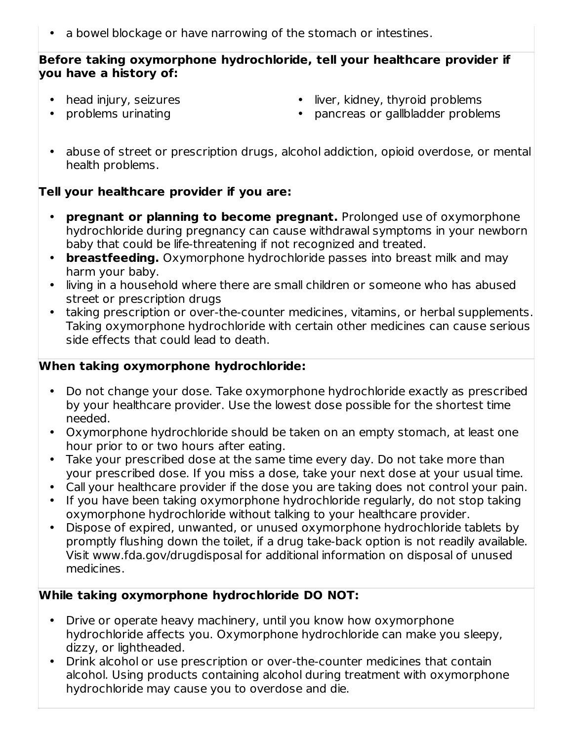• a bowel blockage or have narrowing of the stomach or intestines.

#### **Before taking oxymorphone hydrochloride, tell your healthcare provider if you have a history of:**

• head injury, seizures

• liver, kidney, thyroid problems

• problems urinating

- pancreas or gallbladder problems
- abuse of street or prescription drugs, alcohol addiction, opioid overdose, or mental health problems.

## **Tell your healthcare provider if you are:**

- **pregnant or planning to become pregnant.** Prolonged use of oxymorphone hydrochloride during pregnancy can cause withdrawal symptoms in your newborn baby that could be life-threatening if not recognized and treated.
- **breastfeeding.** Oxymorphone hydrochloride passes into breast milk and may harm your baby.
- living in a household where there are small children or someone who has abused street or prescription drugs
- taking prescription or over-the-counter medicines, vitamins, or herbal supplements. Taking oxymorphone hydrochloride with certain other medicines can cause serious side effects that could lead to death.

### **When taking oxymorphone hydrochloride:**

- Do not change your dose. Take oxymorphone hydrochloride exactly as prescribed by your healthcare provider. Use the lowest dose possible for the shortest time needed.
- Oxymorphone hydrochloride should be taken on an empty stomach, at least one hour prior to or two hours after eating.
- Take your prescribed dose at the same time every day. Do not take more than your prescribed dose. If you miss a dose, take your next dose at your usual time.
- Call your healthcare provider if the dose you are taking does not control your pain.
- If you have been taking oxymorphone hydrochloride regularly, do not stop taking oxymorphone hydrochloride without talking to your healthcare provider.
- Dispose of expired, unwanted, or unused oxymorphone hydrochloride tablets by promptly flushing down the toilet, if a drug take-back option is not readily available. Visit www.fda.gov/drugdisposal for additional information on disposal of unused medicines.

### **While taking oxymorphone hydrochloride DO NOT:**

- Drive or operate heavy machinery, until you know how oxymorphone hydrochloride affects you. Oxymorphone hydrochloride can make you sleepy, dizzy, or lightheaded.
- Drink alcohol or use prescription or over-the-counter medicines that contain alcohol. Using products containing alcohol during treatment with oxymorphone hydrochloride may cause you to overdose and die.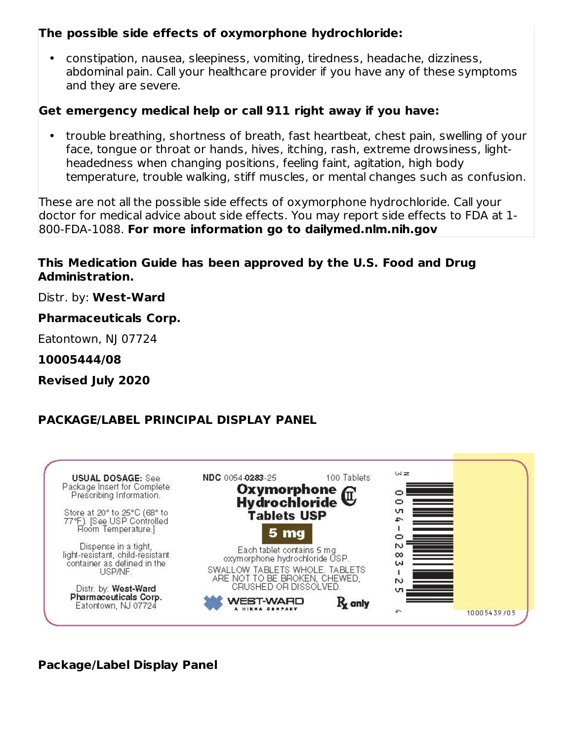### **The possible side effects of oxymorphone hydrochloride:**

• constipation, nausea, sleepiness, vomiting, tiredness, headache, dizziness, abdominal pain. Call your healthcare provider if you have any of these symptoms and they are severe.

#### **Get emergency medical help or call 911 right away if you have:**

• trouble breathing, shortness of breath, fast heartbeat, chest pain, swelling of your face, tongue or throat or hands, hives, itching, rash, extreme drowsiness, lightheadedness when changing positions, feeling faint, agitation, high body temperature, trouble walking, stiff muscles, or mental changes such as confusion.

These are not all the possible side effects of oxymorphone hydrochloride. Call your doctor for medical advice about side effects. You may report side effects to FDA at 1- 800-FDA-1088. **For more information go to dailymed.nlm.nih.gov**

#### **This Medication Guide has been approved by the U.S. Food and Drug Administration.**

Distr. by: **West-Ward**

**Pharmaceuticals Corp.**

Eatontown, NJ 07724

**10005444/08**

**Revised July 2020**

## **PACKAGE/LABEL PRINCIPAL DISPLAY PANEL**



#### **Package/Label Display Panel**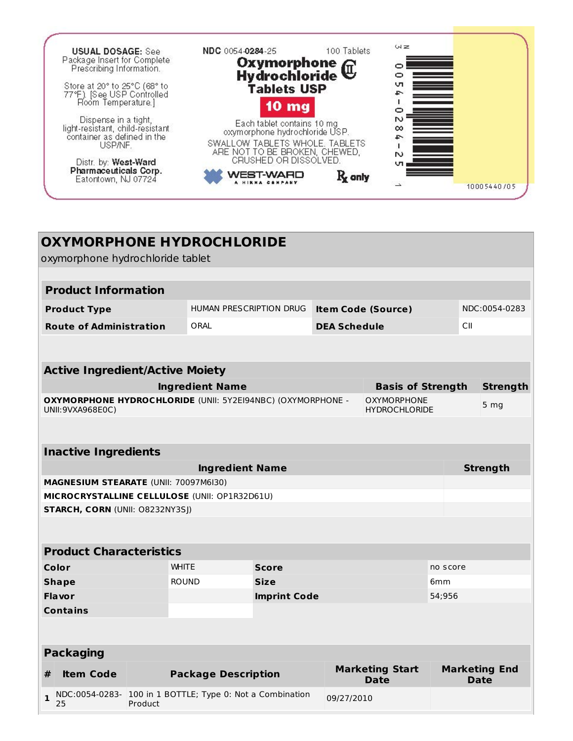

| <b>OXYMORPHONE HYDROCHLORIDE</b><br>oxymorphone hydrochloride tablet<br><b>Product Information</b><br>HUMAN PRESCRIPTION DRUG<br><b>Item Code (Source)</b><br><b>Product Type</b><br><b>Route of Administration</b><br>ORAL<br><b>DEA Schedule</b><br>CII<br><b>Active Ingredient/Active Moiety</b><br><b>Ingredient Name</b><br><b>Basis of Strength</b><br>OXYMORPHONE HYDROCHLORIDE (UNII: 5Y2EI94NBC) (OXYMORPHONE -<br><b>OXYMORPHONE</b><br>5 <sub>mg</sub><br>UNII: 9VXA968E0C)<br><b>HYDROCHLORIDE</b><br><b>Inactive Ingredients</b><br><b>Ingredient Name</b><br><b>Strength</b><br><b>MAGNESIUM STEARATE (UNII: 70097M6I30)</b><br>MICROCRYSTALLINE CELLULOSE (UNII: OP1R32D61U)<br><b>STARCH, CORN (UNII: 08232NY3SJ)</b><br><b>Product Characteristics</b><br>Color<br><b>WHITE</b><br><b>Score</b><br>no score<br><b>ROUND</b><br><b>Size</b><br><b>Shape</b><br>6 <sub>mm</sub><br><b>Flavor</b><br><b>Imprint Code</b><br>54;956<br><b>Contains</b><br><b>Packaging</b><br><b>Marketing Start</b><br><b>Marketing End</b><br><b>Item Code</b><br><b>Package Description</b><br>#<br><b>Date</b><br><b>Date</b><br>NDC:0054-0283- 100 in 1 BOTTLE; Type 0: Not a Combination<br>$\mathbf{1}$<br>09/27/2010<br>Product<br>25 |  |  |  |  |  |  |                 |
|--------------------------------------------------------------------------------------------------------------------------------------------------------------------------------------------------------------------------------------------------------------------------------------------------------------------------------------------------------------------------------------------------------------------------------------------------------------------------------------------------------------------------------------------------------------------------------------------------------------------------------------------------------------------------------------------------------------------------------------------------------------------------------------------------------------------------------------------------------------------------------------------------------------------------------------------------------------------------------------------------------------------------------------------------------------------------------------------------------------------------------------------------------------------------------------------------------------------------------------------|--|--|--|--|--|--|-----------------|
|                                                                                                                                                                                                                                                                                                                                                                                                                                                                                                                                                                                                                                                                                                                                                                                                                                                                                                                                                                                                                                                                                                                                                                                                                                            |  |  |  |  |  |  |                 |
|                                                                                                                                                                                                                                                                                                                                                                                                                                                                                                                                                                                                                                                                                                                                                                                                                                                                                                                                                                                                                                                                                                                                                                                                                                            |  |  |  |  |  |  |                 |
|                                                                                                                                                                                                                                                                                                                                                                                                                                                                                                                                                                                                                                                                                                                                                                                                                                                                                                                                                                                                                                                                                                                                                                                                                                            |  |  |  |  |  |  |                 |
|                                                                                                                                                                                                                                                                                                                                                                                                                                                                                                                                                                                                                                                                                                                                                                                                                                                                                                                                                                                                                                                                                                                                                                                                                                            |  |  |  |  |  |  | NDC:0054-0283   |
|                                                                                                                                                                                                                                                                                                                                                                                                                                                                                                                                                                                                                                                                                                                                                                                                                                                                                                                                                                                                                                                                                                                                                                                                                                            |  |  |  |  |  |  |                 |
|                                                                                                                                                                                                                                                                                                                                                                                                                                                                                                                                                                                                                                                                                                                                                                                                                                                                                                                                                                                                                                                                                                                                                                                                                                            |  |  |  |  |  |  |                 |
|                                                                                                                                                                                                                                                                                                                                                                                                                                                                                                                                                                                                                                                                                                                                                                                                                                                                                                                                                                                                                                                                                                                                                                                                                                            |  |  |  |  |  |  |                 |
|                                                                                                                                                                                                                                                                                                                                                                                                                                                                                                                                                                                                                                                                                                                                                                                                                                                                                                                                                                                                                                                                                                                                                                                                                                            |  |  |  |  |  |  | <b>Strength</b> |
|                                                                                                                                                                                                                                                                                                                                                                                                                                                                                                                                                                                                                                                                                                                                                                                                                                                                                                                                                                                                                                                                                                                                                                                                                                            |  |  |  |  |  |  |                 |
|                                                                                                                                                                                                                                                                                                                                                                                                                                                                                                                                                                                                                                                                                                                                                                                                                                                                                                                                                                                                                                                                                                                                                                                                                                            |  |  |  |  |  |  |                 |
|                                                                                                                                                                                                                                                                                                                                                                                                                                                                                                                                                                                                                                                                                                                                                                                                                                                                                                                                                                                                                                                                                                                                                                                                                                            |  |  |  |  |  |  |                 |
|                                                                                                                                                                                                                                                                                                                                                                                                                                                                                                                                                                                                                                                                                                                                                                                                                                                                                                                                                                                                                                                                                                                                                                                                                                            |  |  |  |  |  |  |                 |
|                                                                                                                                                                                                                                                                                                                                                                                                                                                                                                                                                                                                                                                                                                                                                                                                                                                                                                                                                                                                                                                                                                                                                                                                                                            |  |  |  |  |  |  |                 |
|                                                                                                                                                                                                                                                                                                                                                                                                                                                                                                                                                                                                                                                                                                                                                                                                                                                                                                                                                                                                                                                                                                                                                                                                                                            |  |  |  |  |  |  |                 |
|                                                                                                                                                                                                                                                                                                                                                                                                                                                                                                                                                                                                                                                                                                                                                                                                                                                                                                                                                                                                                                                                                                                                                                                                                                            |  |  |  |  |  |  |                 |
|                                                                                                                                                                                                                                                                                                                                                                                                                                                                                                                                                                                                                                                                                                                                                                                                                                                                                                                                                                                                                                                                                                                                                                                                                                            |  |  |  |  |  |  |                 |
|                                                                                                                                                                                                                                                                                                                                                                                                                                                                                                                                                                                                                                                                                                                                                                                                                                                                                                                                                                                                                                                                                                                                                                                                                                            |  |  |  |  |  |  |                 |
|                                                                                                                                                                                                                                                                                                                                                                                                                                                                                                                                                                                                                                                                                                                                                                                                                                                                                                                                                                                                                                                                                                                                                                                                                                            |  |  |  |  |  |  |                 |
|                                                                                                                                                                                                                                                                                                                                                                                                                                                                                                                                                                                                                                                                                                                                                                                                                                                                                                                                                                                                                                                                                                                                                                                                                                            |  |  |  |  |  |  |                 |
|                                                                                                                                                                                                                                                                                                                                                                                                                                                                                                                                                                                                                                                                                                                                                                                                                                                                                                                                                                                                                                                                                                                                                                                                                                            |  |  |  |  |  |  |                 |
|                                                                                                                                                                                                                                                                                                                                                                                                                                                                                                                                                                                                                                                                                                                                                                                                                                                                                                                                                                                                                                                                                                                                                                                                                                            |  |  |  |  |  |  |                 |
|                                                                                                                                                                                                                                                                                                                                                                                                                                                                                                                                                                                                                                                                                                                                                                                                                                                                                                                                                                                                                                                                                                                                                                                                                                            |  |  |  |  |  |  |                 |
|                                                                                                                                                                                                                                                                                                                                                                                                                                                                                                                                                                                                                                                                                                                                                                                                                                                                                                                                                                                                                                                                                                                                                                                                                                            |  |  |  |  |  |  |                 |
|                                                                                                                                                                                                                                                                                                                                                                                                                                                                                                                                                                                                                                                                                                                                                                                                                                                                                                                                                                                                                                                                                                                                                                                                                                            |  |  |  |  |  |  |                 |
|                                                                                                                                                                                                                                                                                                                                                                                                                                                                                                                                                                                                                                                                                                                                                                                                                                                                                                                                                                                                                                                                                                                                                                                                                                            |  |  |  |  |  |  |                 |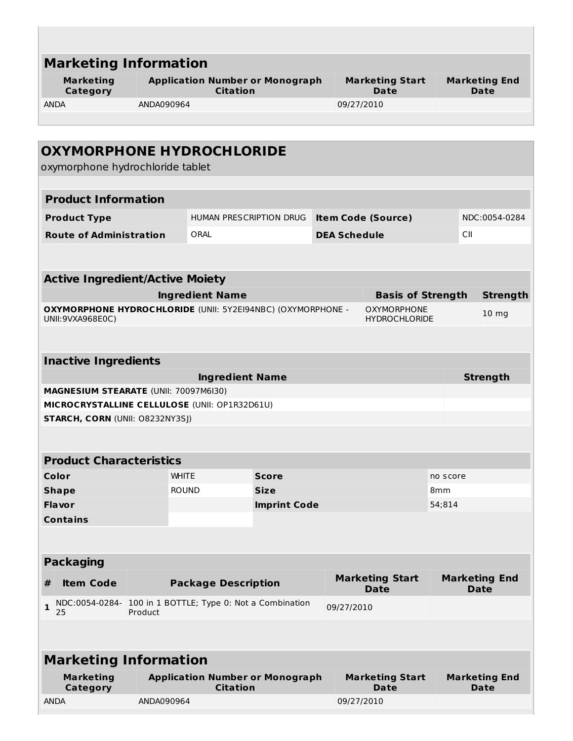| <b>Marketing Information</b>                                                            |                                                           |                                                           |                                    |                     |                                       |               |                                     |  |
|-----------------------------------------------------------------------------------------|-----------------------------------------------------------|-----------------------------------------------------------|------------------------------------|---------------------|---------------------------------------|---------------|-------------------------------------|--|
| <b>Marketing</b><br>Category                                                            | <b>Application Number or Monograph</b><br><b>Citation</b> |                                                           |                                    |                     | <b>Marketing Start</b><br><b>Date</b> |               | <b>Marketing End</b><br>Date        |  |
| <b>ANDA</b>                                                                             | ANDA090964                                                |                                                           |                                    | 09/27/2010          |                                       |               |                                     |  |
|                                                                                         |                                                           |                                                           |                                    |                     |                                       |               |                                     |  |
| <b>OXYMORPHONE HYDROCHLORIDE</b>                                                        |                                                           |                                                           |                                    |                     |                                       |               |                                     |  |
| oxymorphone hydrochloride tablet                                                        |                                                           |                                                           |                                    |                     |                                       |               |                                     |  |
|                                                                                         |                                                           |                                                           |                                    |                     |                                       |               |                                     |  |
| <b>Product Information</b>                                                              |                                                           |                                                           |                                    |                     |                                       |               |                                     |  |
| <b>Product Type</b>                                                                     |                                                           | HUMAN PRESCRIPTION DRUG                                   |                                    |                     | <b>Item Code (Source)</b>             |               | NDC:0054-0284                       |  |
| <b>Route of Administration</b>                                                          |                                                           | ORAL                                                      |                                    | <b>DEA Schedule</b> |                                       | CII           |                                     |  |
|                                                                                         |                                                           |                                                           |                                    |                     |                                       |               |                                     |  |
| <b>Active Ingredient/Active Moiety</b>                                                  |                                                           |                                                           |                                    |                     |                                       |               |                                     |  |
|                                                                                         |                                                           | <b>Ingredient Name</b>                                    |                                    |                     | <b>Basis of Strength</b>              |               | <b>Strength</b>                     |  |
| OXYMORPHONE HYDROCHLORIDE (UNII: 5Y2EI94NBC) (OXYMORPHONE -                             |                                                           |                                                           |                                    |                     | <b>OXYMORPHONE</b>                    |               | 10 <sub>mg</sub>                    |  |
| UNII:9VXA968E0C)                                                                        |                                                           |                                                           |                                    |                     | <b>HYDROCHLORIDE</b>                  |               |                                     |  |
|                                                                                         |                                                           |                                                           |                                    |                     |                                       |               |                                     |  |
| <b>Inactive Ingredients</b>                                                             |                                                           |                                                           |                                    |                     |                                       |               |                                     |  |
|                                                                                         |                                                           | <b>Ingredient Name</b>                                    |                                    |                     |                                       |               | <b>Strength</b>                     |  |
| MAGNESIUM STEARATE (UNII: 70097M6I30)                                                   |                                                           |                                                           |                                    |                     |                                       |               |                                     |  |
| MICROCRYSTALLINE CELLULOSE (UNII: OP1R32D61U)<br><b>STARCH, CORN (UNII: O8232NY3SJ)</b> |                                                           |                                                           |                                    |                     |                                       |               |                                     |  |
|                                                                                         |                                                           |                                                           |                                    |                     |                                       |               |                                     |  |
|                                                                                         |                                                           |                                                           |                                    |                     |                                       |               |                                     |  |
| <b>Product Characteristics</b>                                                          |                                                           |                                                           |                                    |                     |                                       |               |                                     |  |
| Color                                                                                   |                                                           | <b>WHITE</b>                                              | <b>Score</b>                       |                     |                                       | no score      |                                     |  |
| <b>Shape</b><br>Flavor                                                                  |                                                           | <b>ROUND</b>                                              | <b>Size</b><br><b>Imprint Code</b> |                     |                                       | 8mm<br>54;814 |                                     |  |
| <b>Contains</b>                                                                         |                                                           |                                                           |                                    |                     |                                       |               |                                     |  |
|                                                                                         |                                                           |                                                           |                                    |                     |                                       |               |                                     |  |
|                                                                                         |                                                           |                                                           |                                    |                     |                                       |               |                                     |  |
| <b>Packaging</b>                                                                        |                                                           |                                                           |                                    |                     |                                       |               |                                     |  |
| <b>Item Code</b><br>#                                                                   |                                                           | <b>Package Description</b>                                |                                    |                     | <b>Marketing Start</b><br><b>Date</b> |               | <b>Marketing End</b><br><b>Date</b> |  |
| NDC:0054-0284-<br>$\mathbf{1}$                                                          |                                                           | 100 in 1 BOTTLE; Type 0: Not a Combination                |                                    | 09/27/2010          |                                       |               |                                     |  |
| 25                                                                                      | Product                                                   |                                                           |                                    |                     |                                       |               |                                     |  |
|                                                                                         |                                                           |                                                           |                                    |                     |                                       |               |                                     |  |
| <b>Marketing Information</b>                                                            |                                                           |                                                           |                                    |                     |                                       |               |                                     |  |
| <b>Marketing</b><br>Category                                                            |                                                           | <b>Application Number or Monograph</b><br><b>Citation</b> |                                    |                     | <b>Marketing Start</b><br><b>Date</b> |               | <b>Marketing End</b><br><b>Date</b> |  |
| <b>ANDA</b>                                                                             | ANDA090964                                                |                                                           |                                    | 09/27/2010          |                                       |               |                                     |  |
|                                                                                         |                                                           |                                                           |                                    |                     |                                       |               |                                     |  |